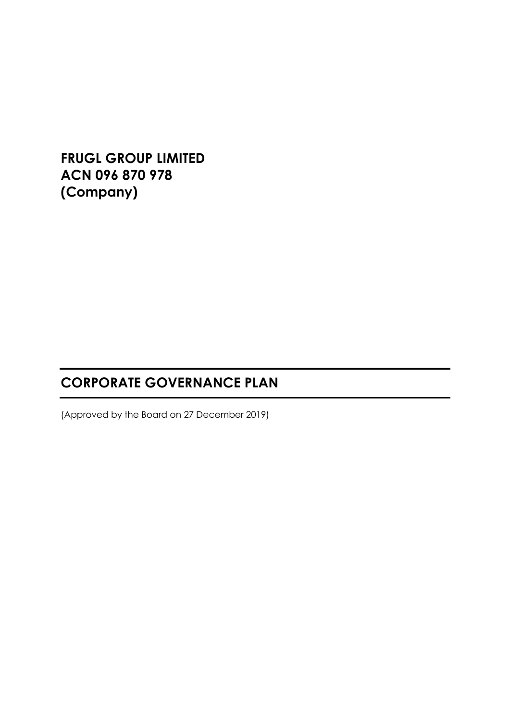**FRUGL GROUP LIMITED ACN 096 870 978 (Company)**

# **CORPORATE GOVERNANCE PLAN**

(Approved by the Board on 27 December 2019)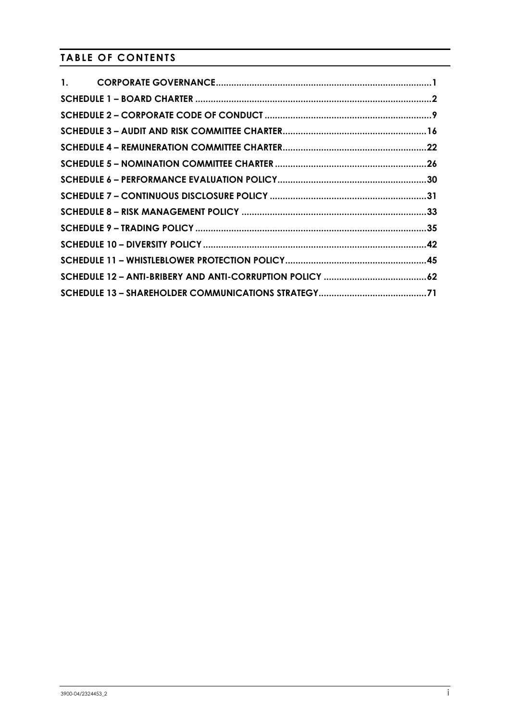## **TABLE OF CONTENTS**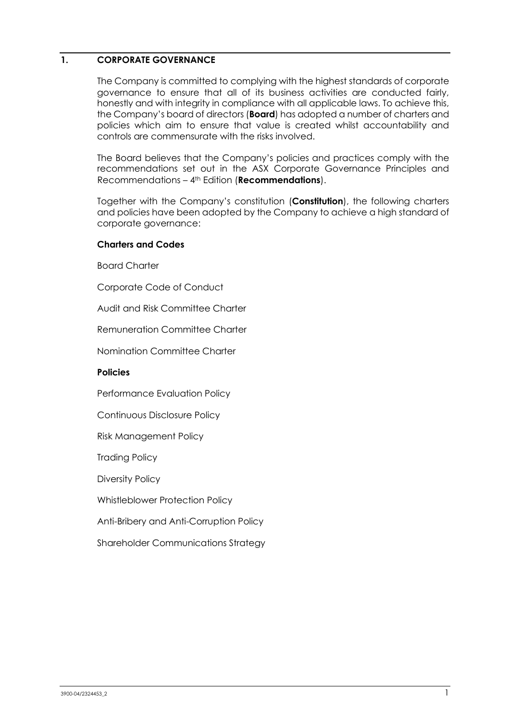## <span id="page-2-0"></span>**1. CORPORATE GOVERNANCE**

The Company is committed to complying with the highest standards of corporate governance to ensure that all of its business activities are conducted fairly, honestly and with integrity in compliance with all applicable laws. To achieve this, the Company's board of directors (**Board**) has adopted a number of charters and policies which aim to ensure that value is created whilst accountability and controls are commensurate with the risks involved.

The Board believes that the Company's policies and practices comply with the recommendations set out in the ASX Corporate Governance Principles and Recommendations – 4th Edition (**Recommendations**).

Together with the Company's constitution (**Constitution**), the following charters and policies have been adopted by the Company to achieve a high standard of corporate governance:

#### **Charters and Codes**

Board Charter

Corporate Code of Conduct

Audit and Risk Committee Charter

Remuneration Committee Charter

Nomination Committee Charter

### **Policies**

Performance Evaluation Policy

Continuous Disclosure Policy

Risk Management Policy

Trading Policy

Diversity Policy

Whistleblower Protection Policy

Anti-Bribery and Anti-Corruption Policy

Shareholder Communications Strategy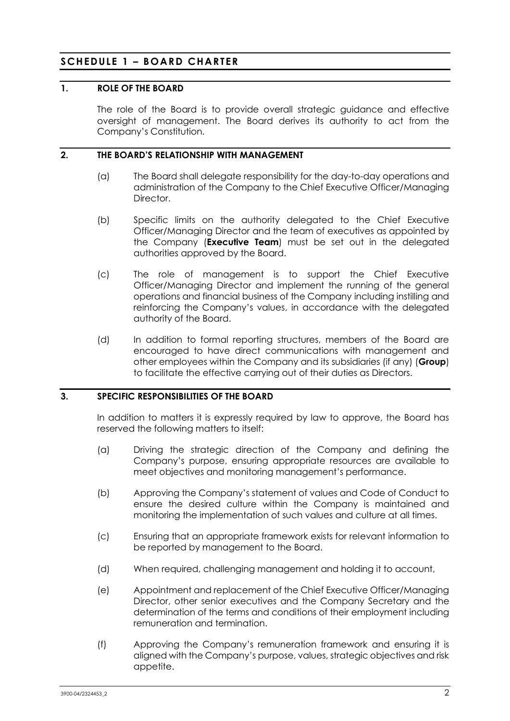## <span id="page-3-0"></span>**SCHEDULE 1 – BOARD CHARTER**

#### **1. ROLE OF THE BOARD**

The role of the Board is to provide overall strategic guidance and effective oversight of management. The Board derives its authority to act from the Company's Constitution.

## **2. THE BOARD'S RELATIONSHIP WITH MANAGEMENT**

- (a) The Board shall delegate responsibility for the day-to-day operations and administration of the Company to the Chief Executive Officer/Managing **Director**
- (b) Specific limits on the authority delegated to the Chief Executive Officer/Managing Director and the team of executives as appointed by the Company (**Executive Team**) must be set out in the delegated authorities approved by the Board.
- (c) The role of management is to support the Chief Executive Officer/Managing Director and implement the running of the general operations and financial business of the Company including instilling and reinforcing the Company's values, in accordance with the delegated authority of the Board.
- (d) In addition to formal reporting structures, members of the Board are encouraged to have direct communications with management and other employees within the Company and its subsidiaries (if any) (**Group**) to facilitate the effective carrying out of their duties as Directors.

## **3. SPECIFIC RESPONSIBILITIES OF THE BOARD**

In addition to matters it is expressly required by law to approve, the Board has reserved the following matters to itself:

- (a) Driving the strategic direction of the Company and defining the Company's purpose, ensuring appropriate resources are available to meet objectives and monitoring management's performance.
- (b) Approving the Company's statement of values and Code of Conduct to ensure the desired culture within the Company is maintained and monitoring the implementation of such values and culture at all times.
- (c) Ensuring that an appropriate framework exists for relevant information to be reported by management to the Board.
- (d) When required, challenging management and holding it to account,
- (e) Appointment and replacement of the Chief Executive Officer/Managing Director, other senior executives and the Company Secretary and the determination of the terms and conditions of their employment including remuneration and termination.
- (f) Approving the Company's remuneration framework and ensuring it is aligned with the Company's purpose, values, strategic objectives and risk appetite.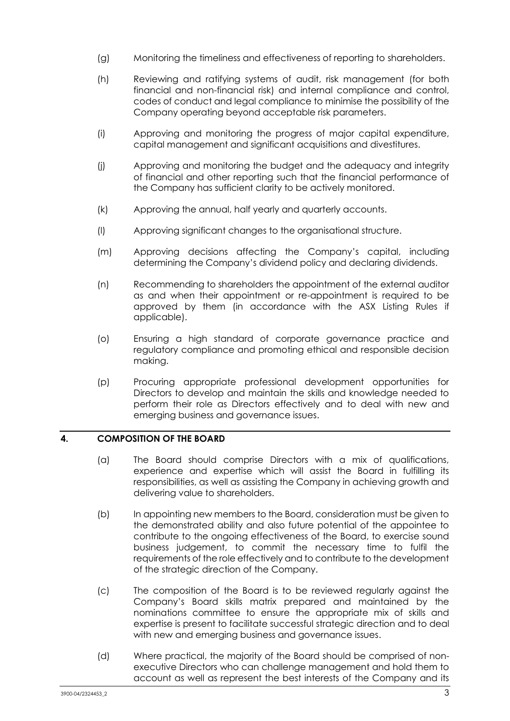- (g) Monitoring the timeliness and effectiveness of reporting to shareholders.
- (h) Reviewing and ratifying systems of audit, risk management (for both financial and non-financial risk) and internal compliance and control, codes of conduct and legal compliance to minimise the possibility of the Company operating beyond acceptable risk parameters.
- (i) Approving and monitoring the progress of major capital expenditure, capital management and significant acquisitions and divestitures.
- (j) Approving and monitoring the budget and the adequacy and integrity of financial and other reporting such that the financial performance of the Company has sufficient clarity to be actively monitored.
- (k) Approving the annual, half yearly and quarterly accounts.
- (l) Approving significant changes to the organisational structure.
- (m) Approving decisions affecting the Company's capital, including determining the Company's dividend policy and declaring dividends.
- (n) Recommending to shareholders the appointment of the external auditor as and when their appointment or re-appointment is required to be approved by them (in accordance with the ASX Listing Rules if applicable).
- (o) Ensuring a high standard of corporate governance practice and regulatory compliance and promoting ethical and responsible decision making.
- (p) Procuring appropriate professional development opportunities for Directors to develop and maintain the skills and knowledge needed to perform their role as Directors effectively and to deal with new and emerging business and governance issues.

## **4. COMPOSITION OF THE BOARD**

- (a) The Board should comprise Directors with a mix of qualifications, experience and expertise which will assist the Board in fulfilling its responsibilities, as well as assisting the Company in achieving growth and delivering value to shareholders.
- (b) In appointing new members to the Board, consideration must be given to the demonstrated ability and also future potential of the appointee to contribute to the ongoing effectiveness of the Board, to exercise sound business judgement, to commit the necessary time to fulfil the requirements of the role effectively and to contribute to the development of the strategic direction of the Company.
- (c) The composition of the Board is to be reviewed regularly against the Company's Board skills matrix prepared and maintained by the nominations committee to ensure the appropriate mix of skills and expertise is present to facilitate successful strategic direction and to deal with new and emerging business and governance issues.
- (d) Where practical, the majority of the Board should be comprised of nonexecutive Directors who can challenge management and hold them to account as well as represent the best interests of the Company and its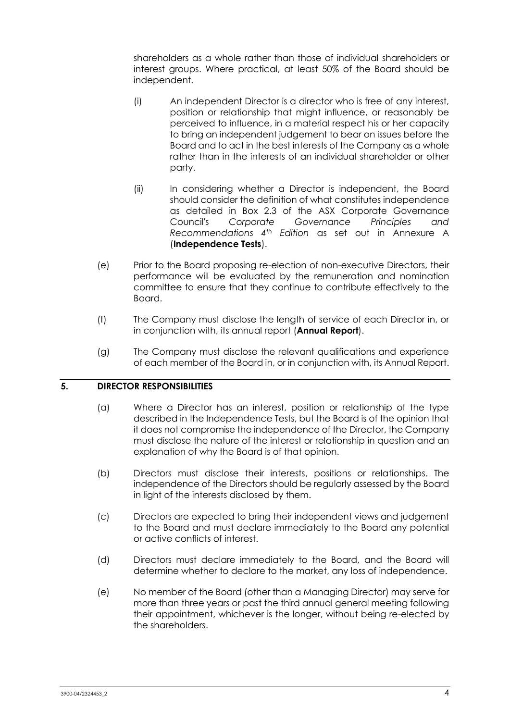shareholders as a whole rather than those of individual shareholders or interest groups. Where practical, at least 50% of the Board should be independent.

- (i) An independent Director is a director who is free of any interest, position or relationship that might influence, or reasonably be perceived to influence, in a material respect his or her capacity to bring an independent judgement to bear on issues before the Board and to act in the best interests of the Company as a whole rather than in the interests of an individual shareholder or other party.
- (ii) In considering whether a Director is independent, the Board should consider the definition of what constitutes independence as detailed in Box 2.3 of the ASX Corporate Governance Council's *Corporate Governance Principles and Recommendations 4th Edition* as set out in Annexure A (**Independence Tests**).
- (e) Prior to the Board proposing re-election of non-executive Directors, their performance will be evaluated by the remuneration and nomination committee to ensure that they continue to contribute effectively to the Board.
- (f) The Company must disclose the length of service of each Director in, or in conjunction with, its annual report (**Annual Report**).
- (g) The Company must disclose the relevant qualifications and experience of each member of the Board in, or in conjunction with, its Annual Report.

### **5. DIRECTOR RESPONSIBILITIES**

- (a) Where a Director has an interest, position or relationship of the type described in the Independence Tests, but the Board is of the opinion that it does not compromise the independence of the Director, the Company must disclose the nature of the interest or relationship in question and an explanation of why the Board is of that opinion.
- (b) Directors must disclose their interests, positions or relationships. The independence of the Directors should be regularly assessed by the Board in light of the interests disclosed by them.
- (c) Directors are expected to bring their independent views and judgement to the Board and must declare immediately to the Board any potential or active conflicts of interest.
- (d) Directors must declare immediately to the Board, and the Board will determine whether to declare to the market, any loss of independence.
- (e) No member of the Board (other than a Managing Director) may serve for more than three years or past the third annual general meeting following their appointment, whichever is the longer, without being re-elected by the shareholders.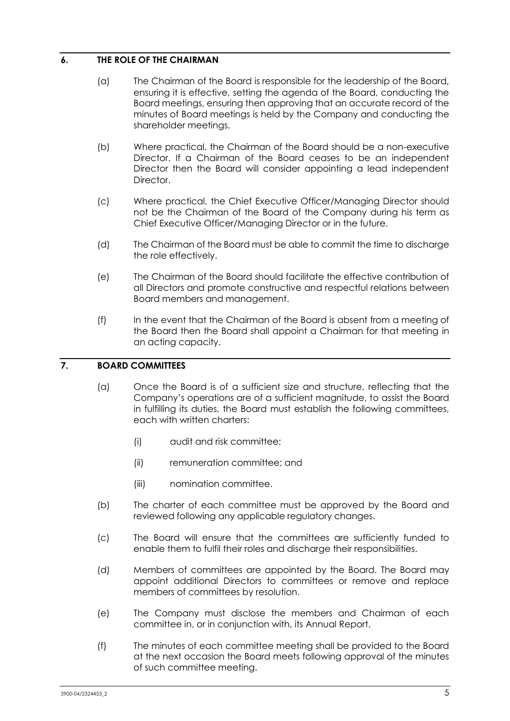## **6. THE ROLE OF THE CHAIRMAN**

- (a) The Chairman of the Board is responsible for the leadership of the Board, ensuring it is effective, setting the agenda of the Board, conducting the Board meetings, ensuring then approving that an accurate record of the minutes of Board meetings is held by the Company and conducting the shareholder meetings.
- (b) Where practical, the Chairman of the Board should be a non-executive Director. If a Chairman of the Board ceases to be an independent Director then the Board will consider appointing a lead independent Director.
- (c) Where practical, the Chief Executive Officer/Managing Director should not be the Chairman of the Board of the Company during his term as Chief Executive Officer/Managing Director or in the future.
- (d) The Chairman of the Board must be able to commit the time to discharge the role effectively.
- (e) The Chairman of the Board should facilitate the effective contribution of all Directors and promote constructive and respectful relations between Board members and management.
- (f) In the event that the Chairman of the Board is absent from a meeting of the Board then the Board shall appoint a Chairman for that meeting in an acting capacity.

## **7. BOARD COMMITTEES**

- (a) Once the Board is of a sufficient size and structure, reflecting that the Company's operations are of a sufficient magnitude, to assist the Board in fulfilling its duties, the Board must establish the following committees, each with written charters:
	- (i) audit and risk committee;
	- (ii) remuneration committee; and
	- (iii) nomination committee.
- (b) The charter of each committee must be approved by the Board and reviewed following any applicable regulatory changes.
- (c) The Board will ensure that the committees are sufficiently funded to enable them to fulfil their roles and discharge their responsibilities.
- (d) Members of committees are appointed by the Board. The Board may appoint additional Directors to committees or remove and replace members of committees by resolution.
- (e) The Company must disclose the members and Chairman of each committee in, or in conjunction with, its Annual Report.
- (f) The minutes of each committee meeting shall be provided to the Board at the next occasion the Board meets following approval of the minutes of such committee meeting.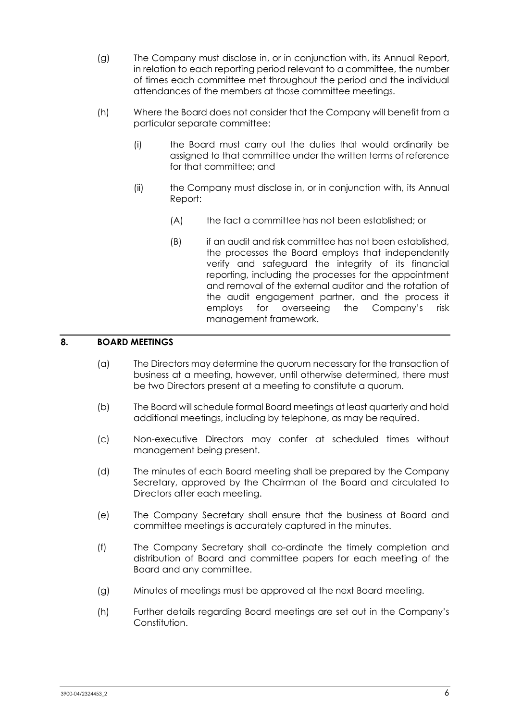- (g) The Company must disclose in, or in conjunction with, its Annual Report, in relation to each reporting period relevant to a committee, the number of times each committee met throughout the period and the individual attendances of the members at those committee meetings.
- (h) Where the Board does not consider that the Company will benefit from a particular separate committee:
	- (i) the Board must carry out the duties that would ordinarily be assigned to that committee under the written terms of reference for that committee; and
	- (ii) the Company must disclose in, or in conjunction with, its Annual Report:
		- (A) the fact a committee has not been established; or
		- (B) if an audit and risk committee has not been established, the processes the Board employs that independently verify and safeguard the integrity of its financial reporting, including the processes for the appointment and removal of the external auditor and the rotation of the audit engagement partner, and the process it employs for overseeing the Company's risk management framework.

## **8. BOARD MEETINGS**

- (a) The Directors may determine the quorum necessary for the transaction of business at a meeting, however, until otherwise determined, there must be two Directors present at a meeting to constitute a quorum.
- (b) The Board will schedule formal Board meetings at least quarterly and hold additional meetings, including by telephone, as may be required.
- (c) Non-executive Directors may confer at scheduled times without management being present.
- (d) The minutes of each Board meeting shall be prepared by the Company Secretary, approved by the Chairman of the Board and circulated to Directors after each meeting.
- (e) The Company Secretary shall ensure that the business at Board and committee meetings is accurately captured in the minutes.
- (f) The Company Secretary shall co-ordinate the timely completion and distribution of Board and committee papers for each meeting of the Board and any committee.
- (g) Minutes of meetings must be approved at the next Board meeting.
- (h) Further details regarding Board meetings are set out in the Company's Constitution.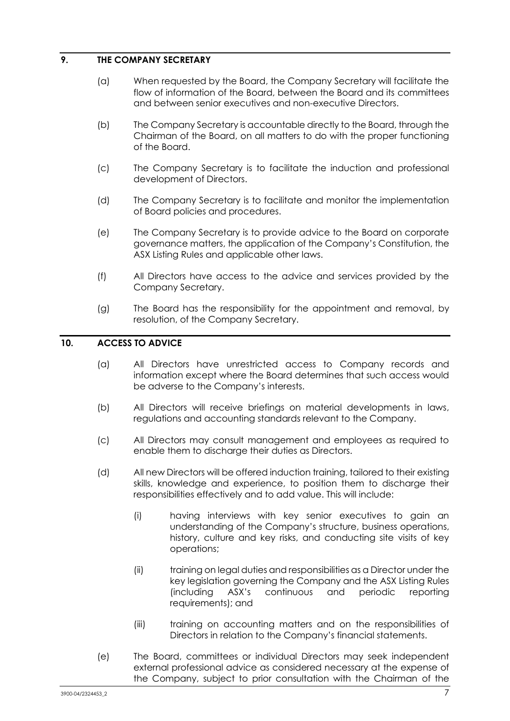## **9. THE COMPANY SECRETARY**

- (a) When requested by the Board, the Company Secretary will facilitate the flow of information of the Board, between the Board and its committees and between senior executives and non-executive Directors.
- (b) The Company Secretary is accountable directly to the Board, through the Chairman of the Board, on all matters to do with the proper functioning of the Board.
- (c) The Company Secretary is to facilitate the induction and professional development of Directors.
- (d) The Company Secretary is to facilitate and monitor the implementation of Board policies and procedures.
- (e) The Company Secretary is to provide advice to the Board on corporate governance matters, the application of the Company's Constitution, the ASX Listing Rules and applicable other laws.
- (f) All Directors have access to the advice and services provided by the Company Secretary.
- (g) The Board has the responsibility for the appointment and removal, by resolution, of the Company Secretary.

## **10. ACCESS TO ADVICE**

- (a) All Directors have unrestricted access to Company records and information except where the Board determines that such access would be adverse to the Company's interests.
- (b) All Directors will receive briefings on material developments in laws, regulations and accounting standards relevant to the Company.
- (c) All Directors may consult management and employees as required to enable them to discharge their duties as Directors.
- (d) All new Directors will be offered induction training, tailored to their existing skills, knowledge and experience, to position them to discharge their responsibilities effectively and to add value. This will include:
	- (i) having interviews with key senior executives to gain an understanding of the Company's structure, business operations, history, culture and key risks, and conducting site visits of key operations;
	- (ii) training on legal duties and responsibilities as a Director under the key legislation governing the Company and the ASX Listing Rules (including ASX's continuous and periodic reporting requirements); and
	- (iii) training on accounting matters and on the responsibilities of Directors in relation to the Company's financial statements.
- (e) The Board, committees or individual Directors may seek independent external professional advice as considered necessary at the expense of the Company, subject to prior consultation with the Chairman of the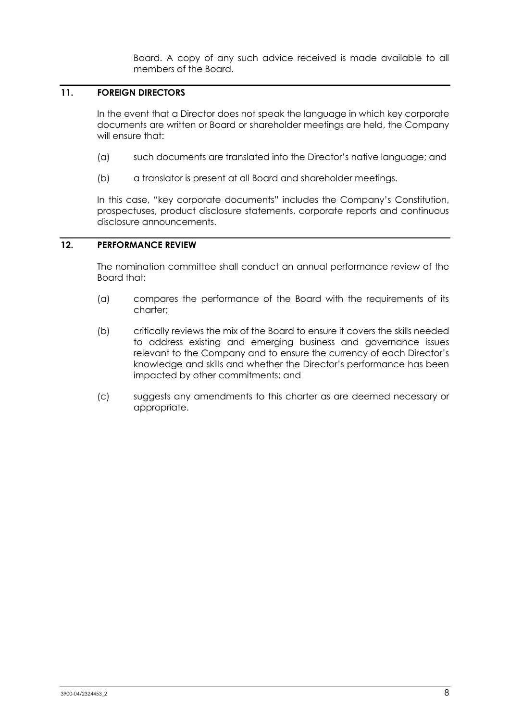Board. A copy of any such advice received is made available to all members of the Board.

## **11. FOREIGN DIRECTORS**

In the event that a Director does not speak the language in which key corporate documents are written or Board or shareholder meetings are held, the Company will ensure that:

- (a) such documents are translated into the Director's native language; and
- (b) a translator is present at all Board and shareholder meetings.

In this case, "key corporate documents" includes the Company's Constitution, prospectuses, product disclosure statements, corporate reports and continuous disclosure announcements.

## **12. PERFORMANCE REVIEW**

The nomination committee shall conduct an annual performance review of the Board that:

- (a) compares the performance of the Board with the requirements of its charter;
- (b) critically reviews the mix of the Board to ensure it covers the skills needed to address existing and emerging business and governance issues relevant to the Company and to ensure the currency of each Director's knowledge and skills and whether the Director's performance has been impacted by other commitments; and
- (c) suggests any amendments to this charter as are deemed necessary or appropriate.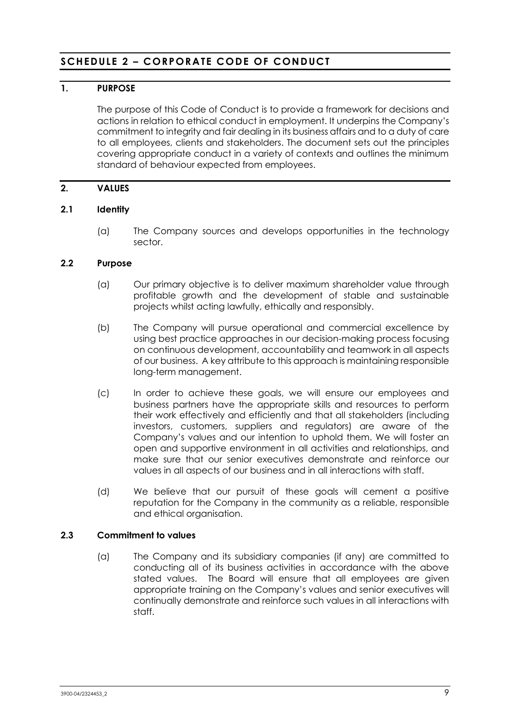## <span id="page-10-0"></span>**SCHEDULE 2 – CORPORATE CODE OF CONDUCT**

## **1. PURPOSE**

The purpose of this Code of Conduct is to provide a framework for decisions and actions in relation to ethical conduct in employment. It underpins the Company's commitment to integrity and fair dealing in its business affairs and to a duty of care to all employees, clients and stakeholders. The document sets out the principles covering appropriate conduct in a variety of contexts and outlines the minimum standard of behaviour expected from employees.

## **2. VALUES**

### **2.1 Identity**

(a) The Company sources and develops opportunities in the technology sector.

### **2.2 Purpose**

- (a) Our primary objective is to deliver maximum shareholder value through profitable growth and the development of stable and sustainable projects whilst acting lawfully, ethically and responsibly.
- (b) The Company will pursue operational and commercial excellence by using best practice approaches in our decision-making process focusing on continuous development, accountability and teamwork in all aspects of our business. A key attribute to this approach is maintaining responsible long-term management.
- (c) In order to achieve these goals, we will ensure our employees and business partners have the appropriate skills and resources to perform their work effectively and efficiently and that all stakeholders (including investors, customers, suppliers and regulators) are aware of the Company's values and our intention to uphold them. We will foster an open and supportive environment in all activities and relationships, and make sure that our senior executives demonstrate and reinforce our values in all aspects of our business and in all interactions with staff.
- (d) We believe that our pursuit of these goals will cement a positive reputation for the Company in the community as a reliable, responsible and ethical organisation.

### **2.3 Commitment to values**

(a) The Company and its subsidiary companies (if any) are committed to conducting all of its business activities in accordance with the above stated values. The Board will ensure that all employees are given appropriate training on the Company's values and senior executives will continually demonstrate and reinforce such values in all interactions with staff.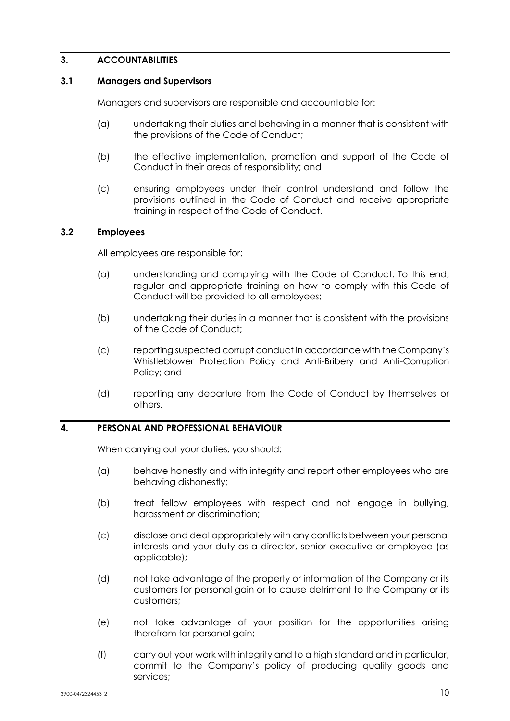## **3. ACCOUNTABILITIES**

#### **3.1 Managers and Supervisors**

Managers and supervisors are responsible and accountable for:

- (a) undertaking their duties and behaving in a manner that is consistent with the provisions of the Code of Conduct;
- (b) the effective implementation, promotion and support of the Code of Conduct in their areas of responsibility; and
- (c) ensuring employees under their control understand and follow the provisions outlined in the Code of Conduct and receive appropriate training in respect of the Code of Conduct.

### **3.2 Employees**

All employees are responsible for:

- (a) understanding and complying with the Code of Conduct. To this end, regular and appropriate training on how to comply with this Code of Conduct will be provided to all employees;
- (b) undertaking their duties in a manner that is consistent with the provisions of the Code of Conduct;
- (c) reporting suspected corrupt conduct in accordance with the Company's Whistleblower Protection Policy and Anti-Bribery and Anti-Corruption Policy; and
- (d) reporting any departure from the Code of Conduct by themselves or others.

#### **4. PERSONAL AND PROFESSIONAL BEHAVIOUR**

When carrying out your duties, you should:

- (a) behave honestly and with integrity and report other employees who are behaving dishonestly;
- (b) treat fellow employees with respect and not engage in bullying, harassment or discrimination;
- (c) disclose and deal appropriately with any conflicts between your personal interests and your duty as a director, senior executive or employee (as applicable);
- (d) not take advantage of the property or information of the Company or its customers for personal gain or to cause detriment to the Company or its customers;
- (e) not take advantage of your position for the opportunities arising therefrom for personal gain;
- (f) carry out your work with integrity and to a high standard and in particular, commit to the Company's policy of producing quality goods and services;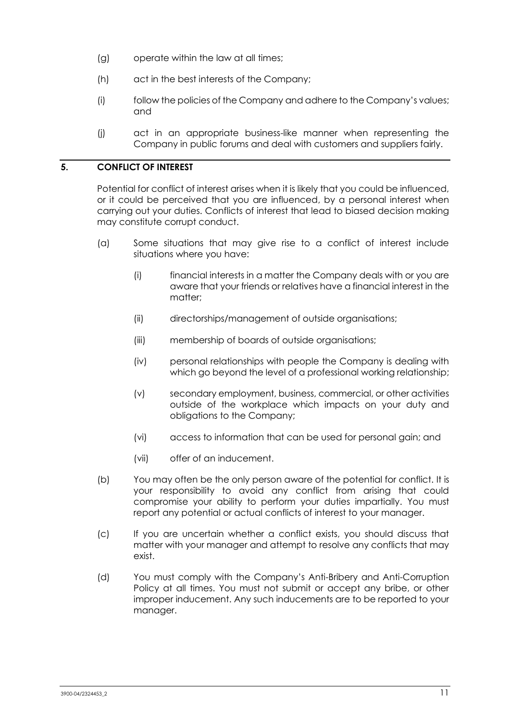- (g) operate within the law at all times;
- (h) act in the best interests of the Company;
- (i) follow the policies of the Company and adhere to the Company's values; and
- (j) act in an appropriate business-like manner when representing the Company in public forums and deal with customers and suppliers fairly.

## **5. CONFLICT OF INTEREST**

Potential for conflict of interest arises when it is likely that you could be influenced, or it could be perceived that you are influenced, by a personal interest when carrying out your duties. Conflicts of interest that lead to biased decision making may constitute corrupt conduct.

- (a) Some situations that may give rise to a conflict of interest include situations where you have:
	- (i) financial interests in a matter the Company deals with or you are aware that your friends or relatives have a financial interest in the matter;
	- (ii) directorships/management of outside organisations;
	- (iii) membership of boards of outside organisations;
	- (iv) personal relationships with people the Company is dealing with which go beyond the level of a professional working relationship;
	- (v) secondary employment, business, commercial, or other activities outside of the workplace which impacts on your duty and obligations to the Company;
	- (vi) access to information that can be used for personal gain; and
	- (vii) offer of an inducement.
- (b) You may often be the only person aware of the potential for conflict. It is your responsibility to avoid any conflict from arising that could compromise your ability to perform your duties impartially. You must report any potential or actual conflicts of interest to your manager.
- (c) If you are uncertain whether a conflict exists, you should discuss that matter with your manager and attempt to resolve any conflicts that may exist.
- (d) You must comply with the Company's Anti-Bribery and Anti-Corruption Policy at all times. You must not submit or accept any bribe, or other improper inducement. Any such inducements are to be reported to your manager.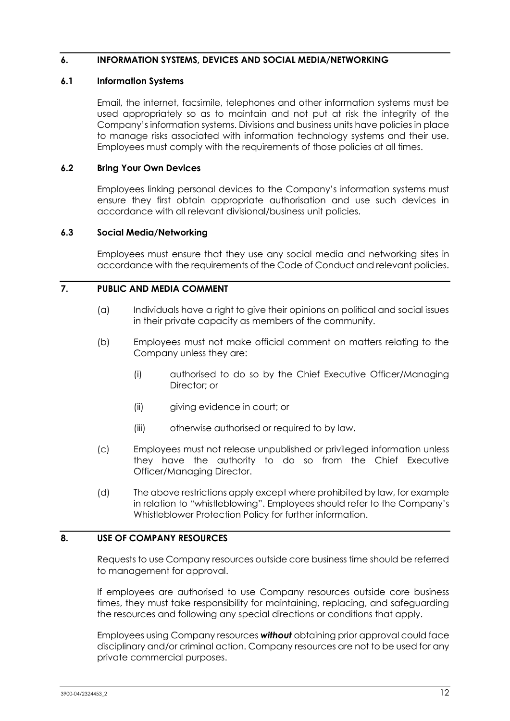## **6. INFORMATION SYSTEMS, DEVICES AND SOCIAL MEDIA/NETWORKING**

#### **6.1 Information Systems**

Email, the internet, facsimile, telephones and other information systems must be used appropriately so as to maintain and not put at risk the integrity of the Company's information systems. Divisions and business units have policies in place to manage risks associated with information technology systems and their use. Employees must comply with the requirements of those policies at all times.

#### **6.2 Bring Your Own Devices**

Employees linking personal devices to the Company's information systems must ensure they first obtain appropriate authorisation and use such devices in accordance with all relevant divisional/business unit policies.

#### **6.3 Social Media/Networking**

Employees must ensure that they use any social media and networking sites in accordance with the requirements of the Code of Conduct and relevant policies.

## **7. PUBLIC AND MEDIA COMMENT**

- (a) Individuals have a right to give their opinions on political and social issues in their private capacity as members of the community.
- (b) Employees must not make official comment on matters relating to the Company unless they are:
	- (i) authorised to do so by the Chief Executive Officer/Managing Director; or
	- (ii) giving evidence in court; or
	- (iii) otherwise authorised or required to by law.
- (c) Employees must not release unpublished or privileged information unless they have the authority to do so from the Chief Executive Officer/Managing Director.
- (d) The above restrictions apply except where prohibited by law, for example in relation to "whistleblowing". Employees should refer to the Company's Whistleblower Protection Policy for further information.

## **8. USE OF COMPANY RESOURCES**

Requests to use Company resources outside core business time should be referred to management for approval.

If employees are authorised to use Company resources outside core business times, they must take responsibility for maintaining, replacing, and safeguarding the resources and following any special directions or conditions that apply.

Employees using Company resources *without* obtaining prior approval could face disciplinary and/or criminal action. Company resources are not to be used for any private commercial purposes.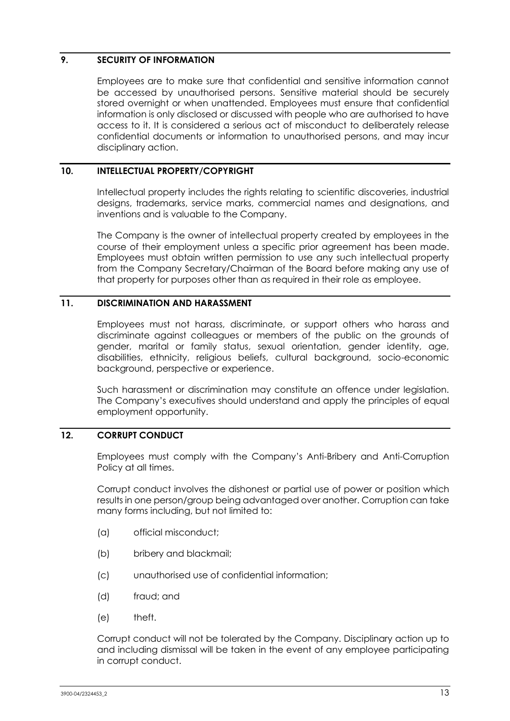## **9. SECURITY OF INFORMATION**

Employees are to make sure that confidential and sensitive information cannot be accessed by unauthorised persons. Sensitive material should be securely stored overnight or when unattended. Employees must ensure that confidential information is only disclosed or discussed with people who are authorised to have access to it. It is considered a serious act of misconduct to deliberately release confidential documents or information to unauthorised persons, and may incur disciplinary action.

## **10. INTELLECTUAL PROPERTY/COPYRIGHT**

Intellectual property includes the rights relating to scientific discoveries, industrial designs, trademarks, service marks, commercial names and designations, and inventions and is valuable to the Company.

The Company is the owner of intellectual property created by employees in the course of their employment unless a specific prior agreement has been made. Employees must obtain written permission to use any such intellectual property from the Company Secretary/Chairman of the Board before making any use of that property for purposes other than as required in their role as employee.

## **11. DISCRIMINATION AND HARASSMENT**

Employees must not harass, discriminate, or support others who harass and discriminate against colleagues or members of the public on the grounds of gender, marital or family status, sexual orientation, gender identity, age, disabilities, ethnicity, religious beliefs, cultural background, socio-economic background, perspective or experience.

Such harassment or discrimination may constitute an offence under legislation. The Company's executives should understand and apply the principles of equal employment opportunity.

## **12. CORRUPT CONDUCT**

Employees must comply with the Company's Anti-Bribery and Anti-Corruption Policy at all times.

Corrupt conduct involves the dishonest or partial use of power or position which results in one person/group being advantaged over another. Corruption can take many forms including, but not limited to:

- (a) official misconduct;
- (b) bribery and blackmail;
- (c) unauthorised use of confidential information;
- (d) fraud; and
- (e) theft.

Corrupt conduct will not be tolerated by the Company. Disciplinary action up to and including dismissal will be taken in the event of any employee participating in corrupt conduct.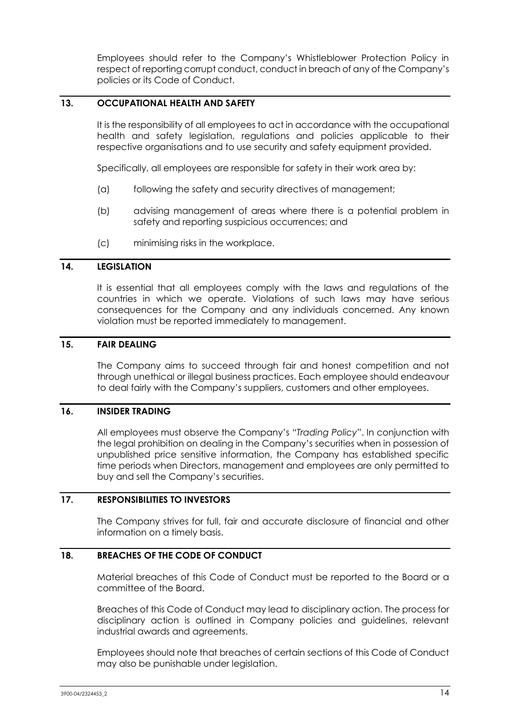Employees should refer to the Company's Whistleblower Protection Policy in respect of reporting corrupt conduct, conduct in breach of any of the Company's policies or its Code of Conduct.

## **13. OCCUPATIONAL HEALTH AND SAFETY**

It is the responsibility of all employees to act in accordance with the occupational health and safety legislation, regulations and policies applicable to their respective organisations and to use security and safety equipment provided.

Specifically, all employees are responsible for safety in their work area by:

- (a) following the safety and security directives of management;
- (b) advising management of areas where there is a potential problem in safety and reporting suspicious occurrences; and
- (c) minimising risks in the workplace.

#### **14. LEGISLATION**

It is essential that all employees comply with the laws and regulations of the countries in which we operate. Violations of such laws may have serious consequences for the Company and any individuals concerned. Any known violation must be reported immediately to management.

### **15. FAIR DEALING**

The Company aims to succeed through fair and honest competition and not through unethical or illegal business practices. Each employee should endeavour to deal fairly with the Company's suppliers, customers and other employees.

#### **16. INSIDER TRADING**

All employees must observe the Company's "*Trading Policy*". In conjunction with the legal prohibition on dealing in the Company's securities when in possession of unpublished price sensitive information, the Company has established specific time periods when Directors, management and employees are only permitted to buy and sell the Company's securities.

#### **17. RESPONSIBILITIES TO INVESTORS**

The Company strives for full, fair and accurate disclosure of financial and other information on a timely basis.

#### **18. BREACHES OF THE CODE OF CONDUCT**

Material breaches of this Code of Conduct must be reported to the Board or a committee of the Board.

Breaches of this Code of Conduct may lead to disciplinary action. The process for disciplinary action is outlined in Company policies and guidelines, relevant industrial awards and agreements.

Employees should note that breaches of certain sections of this Code of Conduct may also be punishable under legislation.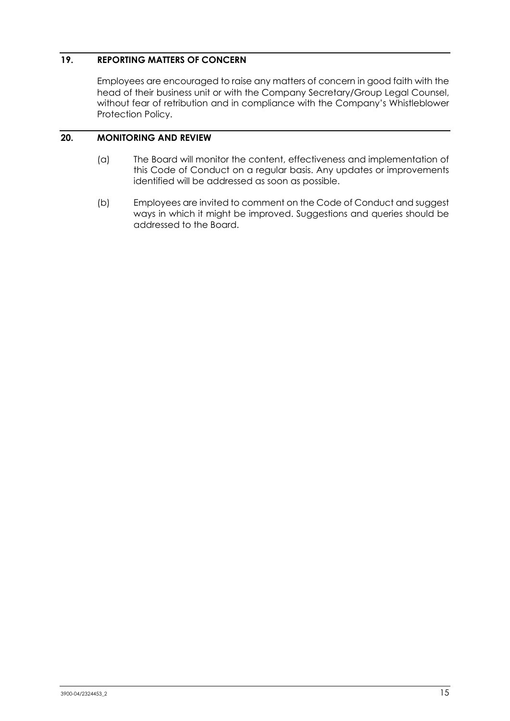## **19. REPORTING MATTERS OF CONCERN**

Employees are encouraged to raise any matters of concern in good faith with the head of their business unit or with the Company Secretary/Group Legal Counsel, without fear of retribution and in compliance with the Company's Whistleblower Protection Policy.

## **20. MONITORING AND REVIEW**

- (a) The Board will monitor the content, effectiveness and implementation of this Code of Conduct on a regular basis. Any updates or improvements identified will be addressed as soon as possible.
- (b) Employees are invited to comment on the Code of Conduct and suggest ways in which it might be improved. Suggestions and queries should be addressed to the Board.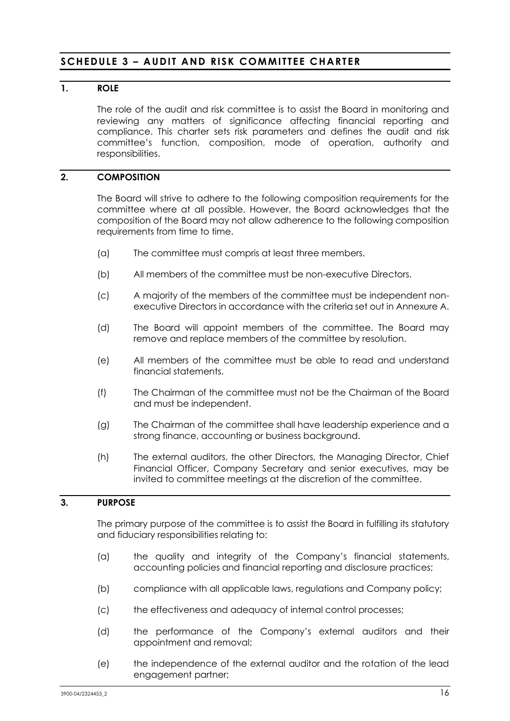## <span id="page-17-0"></span>**SCHEDULE 3 – AUDIT AND RISK COMMITTEE CHARTER**

## **1. ROLE**

The role of the audit and risk committee is to assist the Board in monitoring and reviewing any matters of significance affecting financial reporting and compliance. This charter sets risk parameters and defines the audit and risk committee's function, composition, mode of operation, authority and responsibilities.

## **2. COMPOSITION**

The Board will strive to adhere to the following composition requirements for the committee where at all possible. However, the Board acknowledges that the composition of the Board may not allow adherence to the following composition requirements from time to time.

- (a) The committee must compris at least three members.
- (b) All members of the committee must be non-executive Directors.
- (c) A majority of the members of the committee must be independent nonexecutive Directors in accordance with the criteria set out in Annexure A.
- (d) The Board will appoint members of the committee. The Board may remove and replace members of the committee by resolution.
- (e) All members of the committee must be able to read and understand financial statements.
- (f) The Chairman of the committee must not be the Chairman of the Board and must be independent.
- (g) The Chairman of the committee shall have leadership experience and a strong finance, accounting or business background.
- (h) The external auditors, the other Directors, the Managing Director, Chief Financial Officer, Company Secretary and senior executives, may be invited to committee meetings at the discretion of the committee.

## **3. PURPOSE**

The primary purpose of the committee is to assist the Board in fulfilling its statutory and fiduciary responsibilities relating to:

- (a) the quality and integrity of the Company's financial statements, accounting policies and financial reporting and disclosure practices;
- (b) compliance with all applicable laws, regulations and Company policy;
- (c) the effectiveness and adequacy of internal control processes;
- (d) the performance of the Company's external auditors and their appointment and removal;
- (e) the independence of the external auditor and the rotation of the lead engagement partner;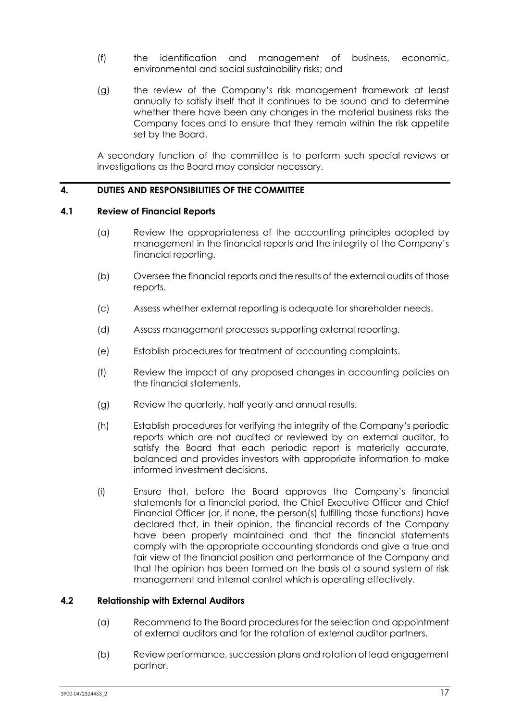- (f) the identification and management of business, economic, environmental and social sustainability risks; and
- (g) the review of the Company's risk management framework at least annually to satisfy itself that it continues to be sound and to determine whether there have been any changes in the material business risks the Company faces and to ensure that they remain within the risk appetite set by the Board.

A secondary function of the committee is to perform such special reviews or investigations as the Board may consider necessary.

#### **4. DUTIES AND RESPONSIBILITIES OF THE COMMITTEE**

### **4.1 Review of Financial Reports**

- (a) Review the appropriateness of the accounting principles adopted by management in the financial reports and the integrity of the Company's financial reporting.
- (b) Oversee the financial reports and the results of the external audits of those reports.
- (c) Assess whether external reporting is adequate for shareholder needs.
- (d) Assess management processes supporting external reporting.
- (e) Establish procedures for treatment of accounting complaints.
- (f) Review the impact of any proposed changes in accounting policies on the financial statements.
- (g) Review the quarterly, half yearly and annual results.
- (h) Establish procedures for verifying the integrity of the Company's periodic reports which are not audited or reviewed by an external auditor, to satisfy the Board that each periodic report is materially accurate, balanced and provides investors with appropriate information to make informed investment decisions.
- (i) Ensure that, before the Board approves the Company's financial statements for a financial period, the Chief Executive Officer and Chief Financial Officer (or, if none, the person(s) fulfilling those functions) have declared that, in their opinion, the financial records of the Company have been properly maintained and that the financial statements comply with the appropriate accounting standards and give a true and fair view of the financial position and performance of the Company and that the opinion has been formed on the basis of a sound system of risk management and internal control which is operating effectively.

#### **4.2 Relationship with External Auditors**

- (a) Recommend to the Board procedures for the selection and appointment of external auditors and for the rotation of external auditor partners.
- (b) Review performance, succession plans and rotation of lead engagement partner.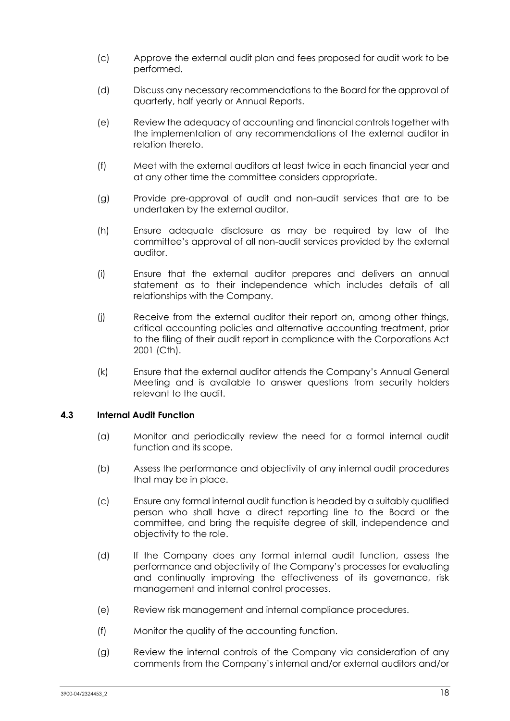- (c) Approve the external audit plan and fees proposed for audit work to be performed.
- (d) Discuss any necessary recommendations to the Board for the approval of quarterly, half yearly or Annual Reports.
- (e) Review the adequacy of accounting and financial controls together with the implementation of any recommendations of the external auditor in relation thereto.
- (f) Meet with the external auditors at least twice in each financial year and at any other time the committee considers appropriate.
- (g) Provide pre-approval of audit and non-audit services that are to be undertaken by the external auditor.
- (h) Ensure adequate disclosure as may be required by law of the committee's approval of all non-audit services provided by the external auditor.
- (i) Ensure that the external auditor prepares and delivers an annual statement as to their independence which includes details of all relationships with the Company.
- (j) Receive from the external auditor their report on, among other things, critical accounting policies and alternative accounting treatment, prior to the filing of their audit report in compliance with the Corporations Act 2001 (Cth).
- (k) Ensure that the external auditor attends the Company's Annual General Meeting and is available to answer questions from security holders relevant to the audit.

### **4.3 Internal Audit Function**

- (a) Monitor and periodically review the need for a formal internal audit function and its scope.
- (b) Assess the performance and objectivity of any internal audit procedures that may be in place.
- (c) Ensure any formal internal audit function is headed by a suitably qualified person who shall have a direct reporting line to the Board or the committee, and bring the requisite degree of skill, independence and objectivity to the role.
- (d) If the Company does any formal internal audit function, assess the performance and objectivity of the Company's processes for evaluating and continually improving the effectiveness of its governance, risk management and internal control processes.
- (e) Review risk management and internal compliance procedures.
- (f) Monitor the quality of the accounting function.
- (g) Review the internal controls of the Company via consideration of any comments from the Company's internal and/or external auditors and/or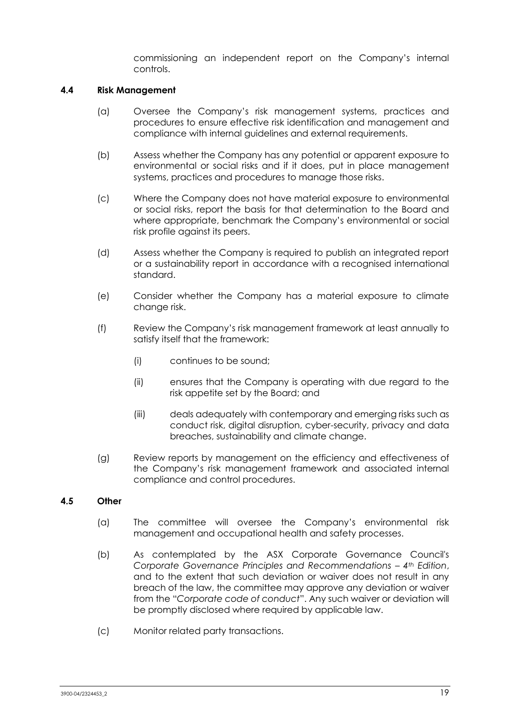commissioning an independent report on the Company's internal controls.

#### **4.4 Risk Management**

- (a) Oversee the Company's risk management systems, practices and procedures to ensure effective risk identification and management and compliance with internal guidelines and external requirements.
- (b) Assess whether the Company has any potential or apparent exposure to environmental or social risks and if it does, put in place management systems, practices and procedures to manage those risks.
- (c) Where the Company does not have material exposure to environmental or social risks, report the basis for that determination to the Board and where appropriate, benchmark the Company's environmental or social risk profile against its peers.
- (d) Assess whether the Company is required to publish an integrated report or a sustainability report in accordance with a recognised international standard.
- (e) Consider whether the Company has a material exposure to climate change risk.
- (f) Review the Company's risk management framework at least annually to satisfy itself that the framework:
	- (i) continues to be sound;
	- (ii) ensures that the Company is operating with due regard to the risk appetite set by the Board; and
	- (iii) deals adequately with contemporary and emerging risks such as conduct risk, digital disruption, cyber-security, privacy and data breaches, sustainability and climate change.
- (g) Review reports by management on the efficiency and effectiveness of the Company's risk management framework and associated internal compliance and control procedures.

### **4.5 Other**

- (a) The committee will oversee the Company's environmental risk management and occupational health and safety processes.
- (b) As contemplated by the ASX Corporate Governance Council's *Corporate Governance Principles and Recommendations – 4th Edition*, and to the extent that such deviation or waiver does not result in any breach of the law, the committee may approve any deviation or waiver from the "*Corporate code of conduct*". Any such waiver or deviation will be promptly disclosed where required by applicable law.
- (c) Monitor related party transactions.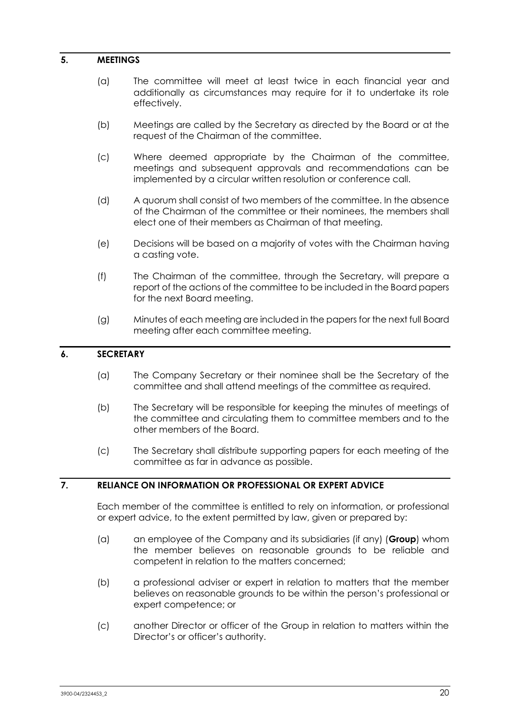#### **5. MEETINGS**

- (a) The committee will meet at least twice in each financial year and additionally as circumstances may require for it to undertake its role effectively.
- (b) Meetings are called by the Secretary as directed by the Board or at the request of the Chairman of the committee.
- (c) Where deemed appropriate by the Chairman of the committee, meetings and subsequent approvals and recommendations can be implemented by a circular written resolution or conference call.
- (d) A quorum shall consist of two members of the committee. In the absence of the Chairman of the committee or their nominees, the members shall elect one of their members as Chairman of that meeting.
- (e) Decisions will be based on a majority of votes with the Chairman having a casting vote.
- (f) The Chairman of the committee, through the Secretary, will prepare a report of the actions of the committee to be included in the Board papers for the next Board meeting.
- (g) Minutes of each meeting are included in the papers for the next full Board meeting after each committee meeting.

### **6. SECRETARY**

- (a) The Company Secretary or their nominee shall be the Secretary of the committee and shall attend meetings of the committee as required.
- (b) The Secretary will be responsible for keeping the minutes of meetings of the committee and circulating them to committee members and to the other members of the Board.
- (c) The Secretary shall distribute supporting papers for each meeting of the committee as far in advance as possible.

## **7. RELIANCE ON INFORMATION OR PROFESSIONAL OR EXPERT ADVICE**

Each member of the committee is entitled to rely on information, or professional or expert advice, to the extent permitted by law, given or prepared by:

- (a) an employee of the Company and its subsidiaries (if any) (**Group**) whom the member believes on reasonable grounds to be reliable and competent in relation to the matters concerned;
- (b) a professional adviser or expert in relation to matters that the member believes on reasonable grounds to be within the person's professional or expert competence; or
- (c) another Director or officer of the Group in relation to matters within the Director's or officer's authority.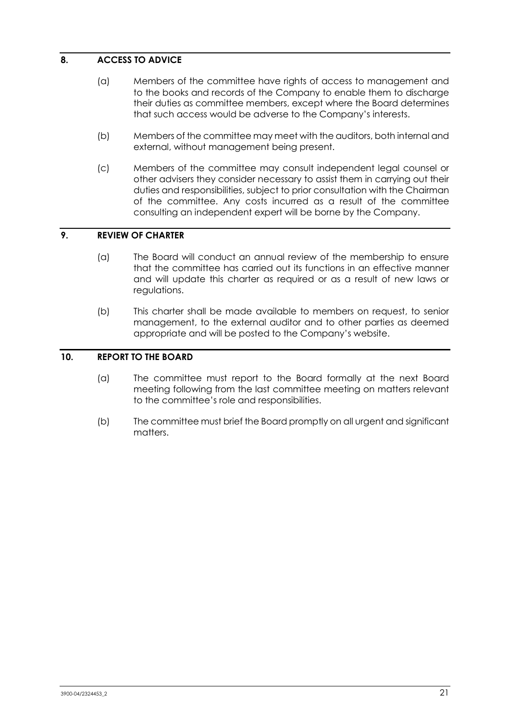## **8. ACCESS TO ADVICE**

- (a) Members of the committee have rights of access to management and to the books and records of the Company to enable them to discharge their duties as committee members, except where the Board determines that such access would be adverse to the Company's interests.
- (b) Members of the committee may meet with the auditors, both internal and external, without management being present.
- (c) Members of the committee may consult independent legal counsel or other advisers they consider necessary to assist them in carrying out their duties and responsibilities, subject to prior consultation with the Chairman of the committee. Any costs incurred as a result of the committee consulting an independent expert will be borne by the Company.

## **9. REVIEW OF CHARTER**

- (a) The Board will conduct an annual review of the membership to ensure that the committee has carried out its functions in an effective manner and will update this charter as required or as a result of new laws or regulations.
- (b) This charter shall be made available to members on request, to senior management, to the external auditor and to other parties as deemed appropriate and will be posted to the Company's website.

## **10. REPORT TO THE BOARD**

- (a) The committee must report to the Board formally at the next Board meeting following from the last committee meeting on matters relevant to the committee's role and responsibilities.
- (b) The committee must brief the Board promptly on all urgent and significant matters.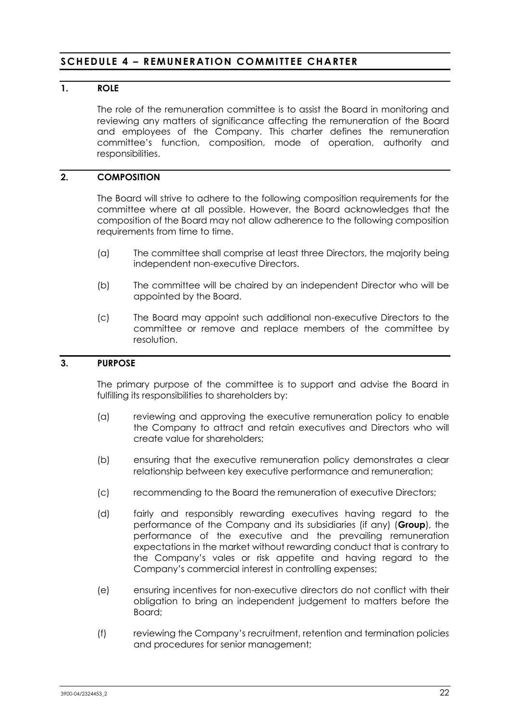## <span id="page-23-0"></span>**SCHEDULE 4 – REMUNERATION COMMITTEE CHARTER**

## **1. ROLE**

The role of the remuneration committee is to assist the Board in monitoring and reviewing any matters of significance affecting the remuneration of the Board and employees of the Company. This charter defines the remuneration committee's function, composition, mode of operation, authority and responsibilities.

## **2. COMPOSITION**

The Board will strive to adhere to the following composition requirements for the committee where at all possible. However, the Board acknowledges that the composition of the Board may not allow adherence to the following composition requirements from time to time.

- (a) The committee shall comprise at least three Directors, the majority being independent non-executive Directors.
- (b) The committee will be chaired by an independent Director who will be appointed by the Board.
- (c) The Board may appoint such additional non-executive Directors to the committee or remove and replace members of the committee by resolution.

#### **3. PURPOSE**

The primary purpose of the committee is to support and advise the Board in fulfilling its responsibilities to shareholders by:

- (a) reviewing and approving the executive remuneration policy to enable the Company to attract and retain executives and Directors who will create value for shareholders;
- (b) ensuring that the executive remuneration policy demonstrates a clear relationship between key executive performance and remuneration;
- (c) recommending to the Board the remuneration of executive Directors;
- (d) fairly and responsibly rewarding executives having regard to the performance of the Company and its subsidiaries (if any) (**Group**), the performance of the executive and the prevailing remuneration expectations in the market without rewarding conduct that is contrary to the Company's vales or risk appetite and having regard to the Company's commercial interest in controlling expenses;
- (e) ensuring incentives for non-executive directors do not conflict with their obligation to bring an independent judgement to matters before the Board;
- (f) reviewing the Company's recruitment, retention and termination policies and procedures for senior management;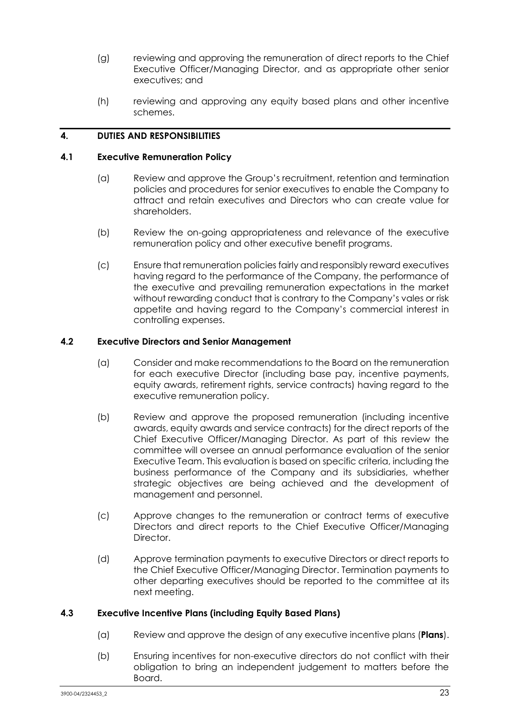- (g) reviewing and approving the remuneration of direct reports to the Chief Executive Officer/Managing Director, and as appropriate other senior executives; and
- (h) reviewing and approving any equity based plans and other incentive schemes.

## **4. DUTIES AND RESPONSIBILITIES**

#### **4.1 Executive Remuneration Policy**

- (a) Review and approve the Group's recruitment, retention and termination policies and procedures for senior executives to enable the Company to attract and retain executives and Directors who can create value for shareholders.
- (b) Review the on-going appropriateness and relevance of the executive remuneration policy and other executive benefit programs.
- (c) Ensure that remuneration policies fairly and responsibly reward executives having regard to the performance of the Company, the performance of the executive and prevailing remuneration expectations in the market without rewarding conduct that is contrary to the Company's vales or risk appetite and having regard to the Company's commercial interest in controlling expenses.

#### **4.2 Executive Directors and Senior Management**

- (a) Consider and make recommendations to the Board on the remuneration for each executive Director (including base pay, incentive payments, equity awards, retirement rights, service contracts) having regard to the executive remuneration policy.
- (b) Review and approve the proposed remuneration (including incentive awards, equity awards and service contracts) for the direct reports of the Chief Executive Officer/Managing Director. As part of this review the committee will oversee an annual performance evaluation of the senior Executive Team. This evaluation is based on specific criteria, including the business performance of the Company and its subsidiaries, whether strategic objectives are being achieved and the development of management and personnel.
- (c) Approve changes to the remuneration or contract terms of executive Directors and direct reports to the Chief Executive Officer/Managing Director.
- (d) Approve termination payments to executive Directors or direct reports to the Chief Executive Officer/Managing Director. Termination payments to other departing executives should be reported to the committee at its next meeting.

### **4.3 Executive Incentive Plans (including Equity Based Plans)**

- (a) Review and approve the design of any executive incentive plans (**Plans**).
- (b) Ensuring incentives for non-executive directors do not conflict with their obligation to bring an independent judgement to matters before the Board.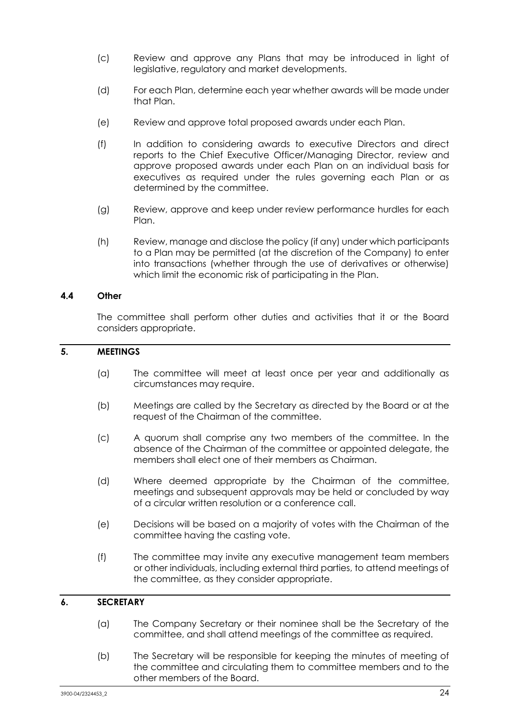- (c) Review and approve any Plans that may be introduced in light of legislative, regulatory and market developments.
- (d) For each Plan, determine each year whether awards will be made under that Plan.
- (e) Review and approve total proposed awards under each Plan.
- (f) In addition to considering awards to executive Directors and direct reports to the Chief Executive Officer/Managing Director, review and approve proposed awards under each Plan on an individual basis for executives as required under the rules governing each Plan or as determined by the committee.
- (g) Review, approve and keep under review performance hurdles for each Plan.
- (h) Review, manage and disclose the policy (if any) under which participants to a Plan may be permitted (at the discretion of the Company) to enter into transactions (whether through the use of derivatives or otherwise) which limit the economic risk of participating in the Plan.

## **4.4 Other**

The committee shall perform other duties and activities that it or the Board considers appropriate.

## **5. MEETINGS**

- (a) The committee will meet at least once per year and additionally as circumstances may require.
- (b) Meetings are called by the Secretary as directed by the Board or at the request of the Chairman of the committee.
- (c) A quorum shall comprise any two members of the committee. In the absence of the Chairman of the committee or appointed delegate, the members shall elect one of their members as Chairman.
- (d) Where deemed appropriate by the Chairman of the committee, meetings and subsequent approvals may be held or concluded by way of a circular written resolution or a conference call.
- (e) Decisions will be based on a majority of votes with the Chairman of the committee having the casting vote.
- (f) The committee may invite any executive management team members or other individuals, including external third parties, to attend meetings of the committee, as they consider appropriate.

### **6. SECRETARY**

- (a) The Company Secretary or their nominee shall be the Secretary of the committee, and shall attend meetings of the committee as required.
- (b) The Secretary will be responsible for keeping the minutes of meeting of the committee and circulating them to committee members and to the other members of the Board.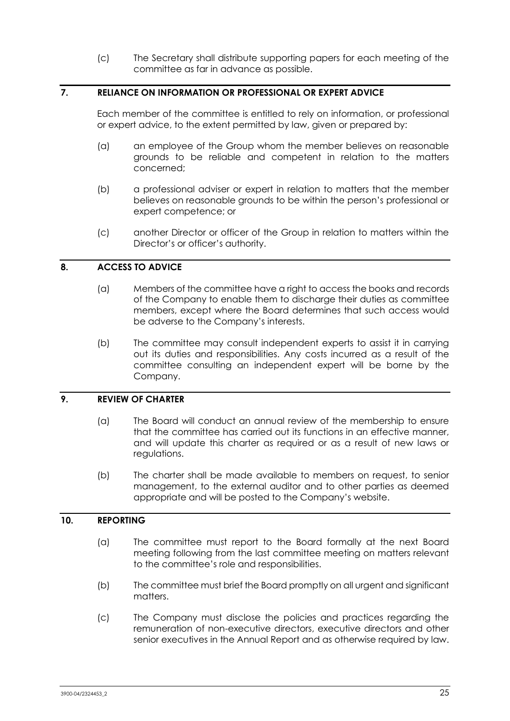(c) The Secretary shall distribute supporting papers for each meeting of the committee as far in advance as possible.

## **7. RELIANCE ON INFORMATION OR PROFESSIONAL OR EXPERT ADVICE**

Each member of the committee is entitled to rely on information, or professional or expert advice, to the extent permitted by law, given or prepared by:

- (a) an employee of the Group whom the member believes on reasonable grounds to be reliable and competent in relation to the matters concerned;
- (b) a professional adviser or expert in relation to matters that the member believes on reasonable grounds to be within the person's professional or expert competence; or
- (c) another Director or officer of the Group in relation to matters within the Director's or officer's authority.

### **8. ACCESS TO ADVICE**

- (a) Members of the committee have a right to access the books and records of the Company to enable them to discharge their duties as committee members, except where the Board determines that such access would be adverse to the Company's interests.
- (b) The committee may consult independent experts to assist it in carrying out its duties and responsibilities. Any costs incurred as a result of the committee consulting an independent expert will be borne by the Company.

## **9. REVIEW OF CHARTER**

- (a) The Board will conduct an annual review of the membership to ensure that the committee has carried out its functions in an effective manner, and will update this charter as required or as a result of new laws or regulations.
- (b) The charter shall be made available to members on request, to senior management, to the external auditor and to other parties as deemed appropriate and will be posted to the Company's website.

## **10. REPORTING**

- (a) The committee must report to the Board formally at the next Board meeting following from the last committee meeting on matters relevant to the committee's role and responsibilities.
- (b) The committee must brief the Board promptly on all urgent and significant matters.
- (c) The Company must disclose the policies and practices regarding the remuneration of non-executive directors, executive directors and other senior executives in the Annual Report and as otherwise required by law.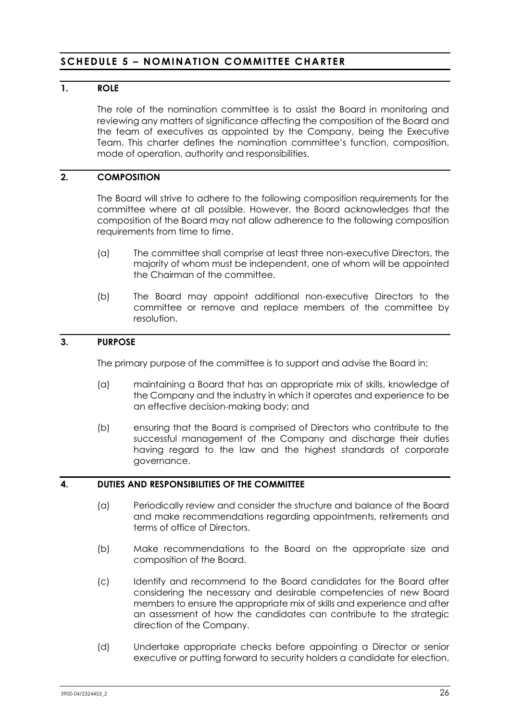## <span id="page-27-0"></span>**SCHEDULE 5 – NOMINATION COMMITTEE CHARTER**

## **1. ROLE**

The role of the nomination committee is to assist the Board in monitoring and reviewing any matters of significance affecting the composition of the Board and the team of executives as appointed by the Company, being the Executive Team. This charter defines the nomination committee's function, composition, mode of operation, authority and responsibilities.

## **2. COMPOSITION**

The Board will strive to adhere to the following composition requirements for the committee where at all possible. However, the Board acknowledges that the composition of the Board may not allow adherence to the following composition requirements from time to time.

- (a) The committee shall comprise at least three non-executive Directors, the majority of whom must be independent, one of whom will be appointed the Chairman of the committee.
- (b) The Board may appoint additional non-executive Directors to the committee or remove and replace members of the committee by resolution.

### **3. PURPOSE**

The primary purpose of the committee is to support and advise the Board in:

- (a) maintaining a Board that has an appropriate mix of skills, knowledge of the Company and the industry in which it operates and experience to be an effective decision-making body; and
- (b) ensuring that the Board is comprised of Directors who contribute to the successful management of the Company and discharge their duties having regard to the law and the highest standards of corporate governance.

## **4. DUTIES AND RESPONSIBILITIES OF THE COMMITTEE**

- (a) Periodically review and consider the structure and balance of the Board and make recommendations regarding appointments, retirements and terms of office of Directors.
- (b) Make recommendations to the Board on the appropriate size and composition of the Board.
- (c) Identify and recommend to the Board candidates for the Board after considering the necessary and desirable competencies of new Board members to ensure the appropriate mix of skills and experience and after an assessment of how the candidates can contribute to the strategic direction of the Company.
- (d) Undertake appropriate checks before appointing a Director or senior executive or putting forward to security holders a candidate for election,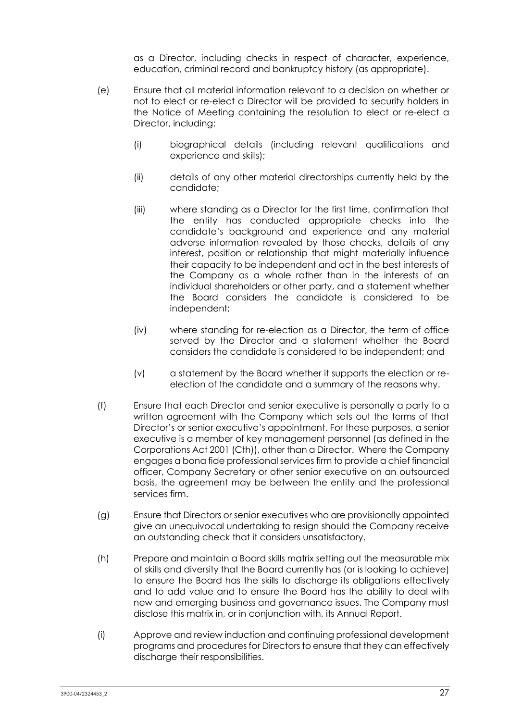as a Director, including checks in respect of character, experience, education, criminal record and bankruptcy history (as appropriate).

- (e) Ensure that all material information relevant to a decision on whether or not to elect or re-elect a Director will be provided to security holders in the Notice of Meeting containing the resolution to elect or re-elect a Director, including:
	- (i) biographical details (including relevant qualifications and experience and skills);
	- (ii) details of any other material directorships currently held by the candidate;
	- (iii) where standing as a Director for the first time, confirmation that the entity has conducted appropriate checks into the candidate's background and experience and any material adverse information revealed by those checks, details of any interest, position or relationship that might materially influence their capacity to be independent and act in the best interests of the Company as a whole rather than in the interests of an individual shareholders or other party, and a statement whether the Board considers the candidate is considered to be independent;
	- (iv) where standing for re-election as a Director, the term of office served by the Director and a statement whether the Board considers the candidate is considered to be independent; and
	- (v) a statement by the Board whether it supports the election or reelection of the candidate and a summary of the reasons why.
- (f) Ensure that each Director and senior executive is personally a party to a written agreement with the Company which sets out the terms of that Director's or senior executive's appointment. For these purposes, a senior executive is a member of key management personnel (as defined in the Corporations Act 2001 (Cth)), other than a Director. Where the Company engages a bona fide professional services firm to provide a chief financial officer, Company Secretary or other senior executive on an outsourced basis, the agreement may be between the entity and the professional services firm.
- (g) Ensure that Directors or senior executives who are provisionally appointed give an unequivocal undertaking to resign should the Company receive an outstanding check that it considers unsatisfactory.
- (h) Prepare and maintain a Board skills matrix setting out the measurable mix of skills and diversity that the Board currently has (or is looking to achieve) to ensure the Board has the skills to discharge its obligations effectively and to add value and to ensure the Board has the ability to deal with new and emerging business and governance issues. The Company must disclose this matrix in, or in conjunction with, its Annual Report.
- (i) Approve and review induction and continuing professional development programs and procedures for Directors to ensure that they can effectively discharge their responsibilities.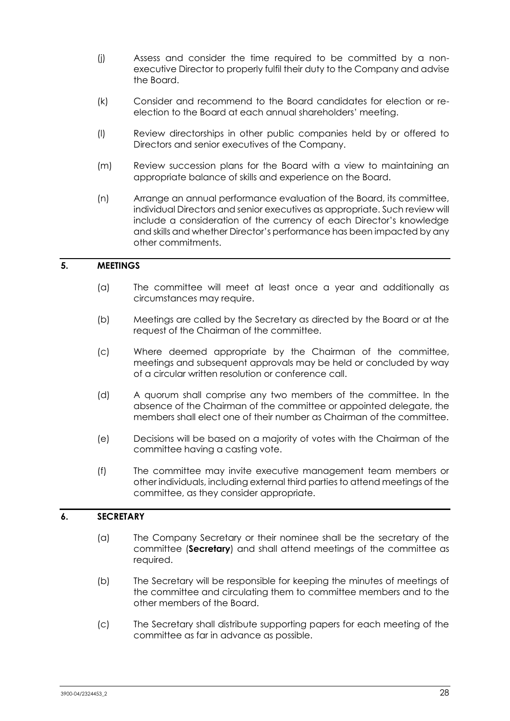- (j) Assess and consider the time required to be committed by a nonexecutive Director to properly fulfil their duty to the Company and advise the Board.
- (k) Consider and recommend to the Board candidates for election or reelection to the Board at each annual shareholders' meeting.
- (l) Review directorships in other public companies held by or offered to Directors and senior executives of the Company.
- (m) Review succession plans for the Board with a view to maintaining an appropriate balance of skills and experience on the Board.
- (n) Arrange an annual performance evaluation of the Board, its committee, individual Directors and senior executives as appropriate. Such review will include a consideration of the currency of each Director's knowledge and skills and whether Director's performance has been impacted by any other commitments.

#### **5. MEETINGS**

- (a) The committee will meet at least once a year and additionally as circumstances may require.
- (b) Meetings are called by the Secretary as directed by the Board or at the request of the Chairman of the committee.
- (c) Where deemed appropriate by the Chairman of the committee, meetings and subsequent approvals may be held or concluded by way of a circular written resolution or conference call.
- (d) A quorum shall comprise any two members of the committee. In the absence of the Chairman of the committee or appointed delegate, the members shall elect one of their number as Chairman of the committee.
- (e) Decisions will be based on a majority of votes with the Chairman of the committee having a casting vote.
- (f) The committee may invite executive management team members or other individuals, including external third parties to attend meetings of the committee, as they consider appropriate.

## **6. SECRETARY**

- (a) The Company Secretary or their nominee shall be the secretary of the committee (**Secretary**) and shall attend meetings of the committee as required.
- (b) The Secretary will be responsible for keeping the minutes of meetings of the committee and circulating them to committee members and to the other members of the Board.
- (c) The Secretary shall distribute supporting papers for each meeting of the committee as far in advance as possible.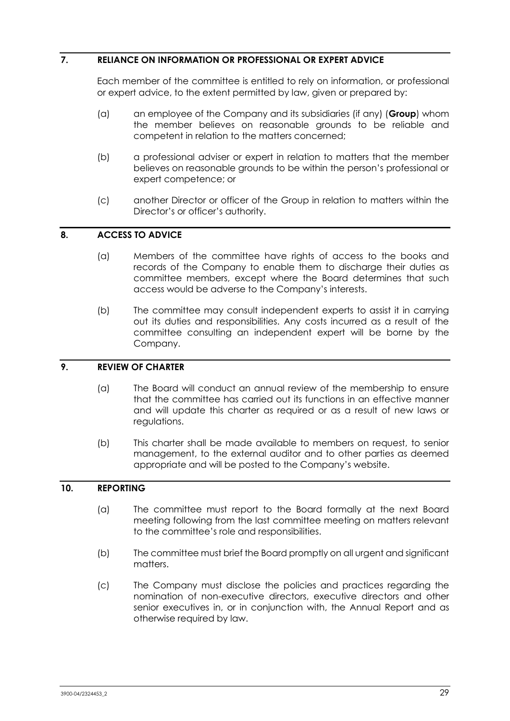## **7. RELIANCE ON INFORMATION OR PROFESSIONAL OR EXPERT ADVICE**

Each member of the committee is entitled to rely on information, or professional or expert advice, to the extent permitted by law, given or prepared by:

- (a) an employee of the Company and its subsidiaries (if any) (**Group**) whom the member believes on reasonable grounds to be reliable and competent in relation to the matters concerned;
- (b) a professional adviser or expert in relation to matters that the member believes on reasonable grounds to be within the person's professional or expert competence; or
- (c) another Director or officer of the Group in relation to matters within the Director's or officer's authority.

## **8. ACCESS TO ADVICE**

- (a) Members of the committee have rights of access to the books and records of the Company to enable them to discharge their duties as committee members, except where the Board determines that such access would be adverse to the Company's interests.
- (b) The committee may consult independent experts to assist it in carrying out its duties and responsibilities. Any costs incurred as a result of the committee consulting an independent expert will be borne by the Company.

## **9. REVIEW OF CHARTER**

- (a) The Board will conduct an annual review of the membership to ensure that the committee has carried out its functions in an effective manner and will update this charter as required or as a result of new laws or regulations.
- (b) This charter shall be made available to members on request, to senior management, to the external auditor and to other parties as deemed appropriate and will be posted to the Company's website.

#### **10. REPORTING**

- (a) The committee must report to the Board formally at the next Board meeting following from the last committee meeting on matters relevant to the committee's role and responsibilities.
- (b) The committee must brief the Board promptly on all urgent and significant matters.
- (c) The Company must disclose the policies and practices regarding the nomination of non-executive directors, executive directors and other senior executives in, or in conjunction with, the Annual Report and as otherwise required by law.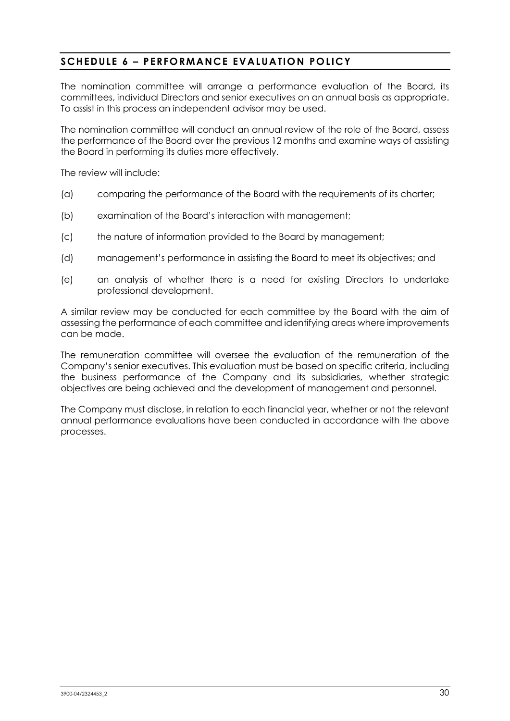## <span id="page-31-0"></span>**SCHEDULE 6 – PERFORMANCE EVALUATION POLICY**

The nomination committee will arrange a performance evaluation of the Board, its committees, individual Directors and senior executives on an annual basis as appropriate. To assist in this process an independent advisor may be used.

The nomination committee will conduct an annual review of the role of the Board, assess the performance of the Board over the previous 12 months and examine ways of assisting the Board in performing its duties more effectively.

The review will include:

- (a) comparing the performance of the Board with the requirements of its charter;
- (b) examination of the Board's interaction with management;
- (c) the nature of information provided to the Board by management;
- (d) management's performance in assisting the Board to meet its objectives; and
- (e) an analysis of whether there is a need for existing Directors to undertake professional development.

A similar review may be conducted for each committee by the Board with the aim of assessing the performance of each committee and identifying areas where improvements can be made.

The remuneration committee will oversee the evaluation of the remuneration of the Company's senior executives. This evaluation must be based on specific criteria, including the business performance of the Company and its subsidiaries, whether strategic objectives are being achieved and the development of management and personnel.

The Company must disclose, in relation to each financial year, whether or not the relevant annual performance evaluations have been conducted in accordance with the above processes.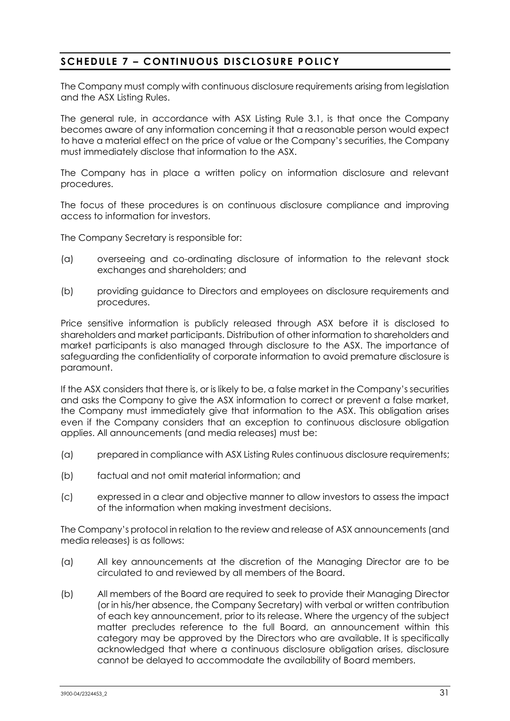## <span id="page-32-0"></span>**SCHEDULE 7 – CONTINUOUS DISCLOSURE POLICY**

The Company must comply with continuous disclosure requirements arising from legislation and the ASX Listing Rules.

The general rule, in accordance with ASX Listing Rule 3.1, is that once the Company becomes aware of any information concerning it that a reasonable person would expect to have a material effect on the price of value or the Company's securities, the Company must immediately disclose that information to the ASX.

The Company has in place a written policy on information disclosure and relevant procedures.

The focus of these procedures is on continuous disclosure compliance and improving access to information for investors.

The Company Secretary is responsible for:

- (a) overseeing and co-ordinating disclosure of information to the relevant stock exchanges and shareholders; and
- (b) providing guidance to Directors and employees on disclosure requirements and procedures.

Price sensitive information is publicly released through ASX before it is disclosed to shareholders and market participants. Distribution of other information to shareholders and market participants is also managed through disclosure to the ASX. The importance of safeguarding the confidentiality of corporate information to avoid premature disclosure is paramount.

If the ASX considers that there is, or is likely to be, a false market in the Company's securities and asks the Company to give the ASX information to correct or prevent a false market, the Company must immediately give that information to the ASX. This obligation arises even if the Company considers that an exception to continuous disclosure obligation applies. All announcements (and media releases) must be:

- (a) prepared in compliance with ASX Listing Rules continuous disclosure requirements;
- (b) factual and not omit material information; and
- (c) expressed in a clear and objective manner to allow investors to assess the impact of the information when making investment decisions.

The Company's protocol in relation to the review and release of ASX announcements (and media releases) is as follows:

- (a) All key announcements at the discretion of the Managing Director are to be circulated to and reviewed by all members of the Board.
- (b) All members of the Board are required to seek to provide their Managing Director (or in his/her absence, the Company Secretary) with verbal or written contribution of each key announcement, prior to its release. Where the urgency of the subject matter precludes reference to the full Board, an announcement within this category may be approved by the Directors who are available. It is specifically acknowledged that where a continuous disclosure obligation arises, disclosure cannot be delayed to accommodate the availability of Board members.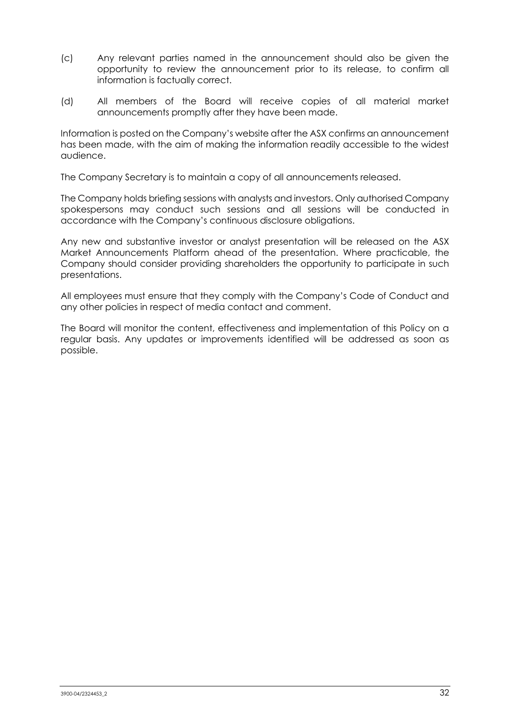- (c) Any relevant parties named in the announcement should also be given the opportunity to review the announcement prior to its release, to confirm all information is factually correct.
- (d) All members of the Board will receive copies of all material market announcements promptly after they have been made.

Information is posted on the Company's website after the ASX confirms an announcement has been made, with the aim of making the information readily accessible to the widest audience.

The Company Secretary is to maintain a copy of all announcements released.

The Company holds briefing sessions with analysts and investors. Only authorised Company spokespersons may conduct such sessions and all sessions will be conducted in accordance with the Company's continuous disclosure obligations.

Any new and substantive investor or analyst presentation will be released on the ASX Market Announcements Platform ahead of the presentation. Where practicable, the Company should consider providing shareholders the opportunity to participate in such presentations.

All employees must ensure that they comply with the Company's Code of Conduct and any other policies in respect of media contact and comment.

The Board will monitor the content, effectiveness and implementation of this Policy on a regular basis. Any updates or improvements identified will be addressed as soon as possible.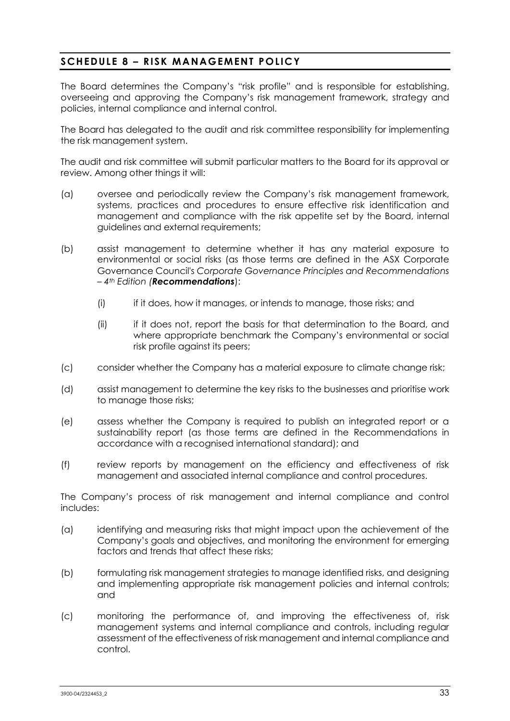## <span id="page-34-0"></span>**SCHEDULE 8 – RISK MANAGEMENT POLICY**

The Board determines the Company's "risk profile" and is responsible for establishing, overseeing and approving the Company's risk management framework, strategy and policies, internal compliance and internal control.

The Board has delegated to the audit and risk committee responsibility for implementing the risk management system.

The audit and risk committee will submit particular matters to the Board for its approval or review. Among other things it will:

- (a) oversee and periodically review the Company's risk management framework, systems, practices and procedures to ensure effective risk identification and management and compliance with the risk appetite set by the Board, internal guidelines and external requirements;
- (b) assist management to determine whether it has any material exposure to environmental or social risks (as those terms are defined in the ASX Corporate Governance Council's *Corporate Governance Principles and Recommendations – 4th Edition (Recommendations*):
	- (i) if it does, how it manages, or intends to manage, those risks; and
	- (ii) if it does not, report the basis for that determination to the Board, and where appropriate benchmark the Company's environmental or social risk profile against its peers;
- (c) consider whether the Company has a material exposure to climate change risk;
- (d) assist management to determine the key risks to the businesses and prioritise work to manage those risks;
- (e) assess whether the Company is required to publish an integrated report or a sustainability report (as those terms are defined in the Recommendations in accordance with a recognised international standard); and
- (f) review reports by management on the efficiency and effectiveness of risk management and associated internal compliance and control procedures.

The Company's process of risk management and internal compliance and control includes:

- (a) identifying and measuring risks that might impact upon the achievement of the Company's goals and objectives, and monitoring the environment for emerging factors and trends that affect these risks;
- (b) formulating risk management strategies to manage identified risks, and designing and implementing appropriate risk management policies and internal controls; and
- (c) monitoring the performance of, and improving the effectiveness of, risk management systems and internal compliance and controls, including regular assessment of the effectiveness of risk management and internal compliance and control.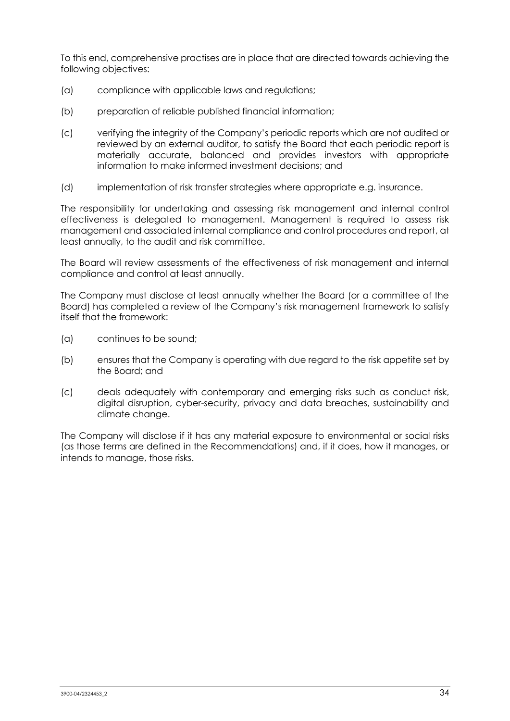To this end, comprehensive practises are in place that are directed towards achieving the following objectives:

- (a) compliance with applicable laws and regulations;
- (b) preparation of reliable published financial information;
- (c) verifying the integrity of the Company's periodic reports which are not audited or reviewed by an external auditor, to satisfy the Board that each periodic report is materially accurate, balanced and provides investors with appropriate information to make informed investment decisions; and
- (d) implementation of risk transfer strategies where appropriate e.g. insurance.

The responsibility for undertaking and assessing risk management and internal control effectiveness is delegated to management. Management is required to assess risk management and associated internal compliance and control procedures and report, at least annually, to the audit and risk committee.

The Board will review assessments of the effectiveness of risk management and internal compliance and control at least annually.

The Company must disclose at least annually whether the Board (or a committee of the Board) has completed a review of the Company's risk management framework to satisfy itself that the framework:

- (a) continues to be sound;
- (b) ensures that the Company is operating with due regard to the risk appetite set by the Board; and
- (c) deals adequately with contemporary and emerging risks such as conduct risk, digital disruption, cyber-security, privacy and data breaches, sustainability and climate change.

The Company will disclose if it has any material exposure to environmental or social risks (as those terms are defined in the Recommendations) and, if it does, how it manages, or intends to manage, those risks.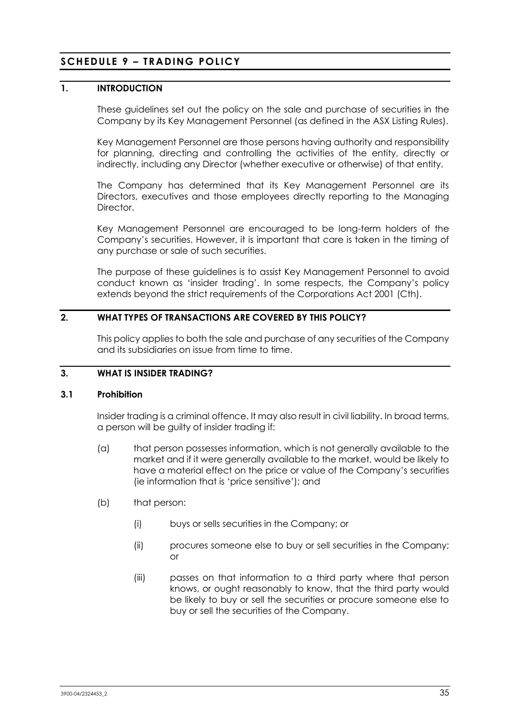# **SCHEDULE 9 – TRADING POLICY**

## **1. INTRODUCTION**

These guidelines set out the policy on the sale and purchase of securities in the Company by its Key Management Personnel (as defined in the ASX Listing Rules).

Key Management Personnel are those persons having authority and responsibility for planning, directing and controlling the activities of the entity, directly or indirectly, including any Director (whether executive or otherwise) of that entity.

The Company has determined that its Key Management Personnel are its Directors, executives and those employees directly reporting to the Managing **Director** 

Key Management Personnel are encouraged to be long-term holders of the Company's securities. However, it is important that care is taken in the timing of any purchase or sale of such securities.

The purpose of these guidelines is to assist Key Management Personnel to avoid conduct known as 'insider trading'. In some respects, the Company's policy extends beyond the strict requirements of the Corporations Act 2001 (Cth).

## **2. WHAT TYPES OF TRANSACTIONS ARE COVERED BY THIS POLICY?**

This policy applies to both the sale and purchase of any securities of the Company and its subsidiaries on issue from time to time.

## **3. WHAT IS INSIDER TRADING?**

#### **3.1 Prohibition**

Insider trading is a criminal offence. It may also result in civil liability. In broad terms, a person will be guilty of insider trading if:

- (a) that person possesses information, which is not generally available to the market and if it were generally available to the market, would be likely to have a material effect on the price or value of the Company's securities (ie information that is 'price sensitive'); and
- (b) that person:
	- (i) buys or sells securities in the Company; or
	- (ii) procures someone else to buy or sell securities in the Company; or
	- (iii) passes on that information to a third party where that person knows, or ought reasonably to know, that the third party would be likely to buy or sell the securities or procure someone else to buy or sell the securities of the Company.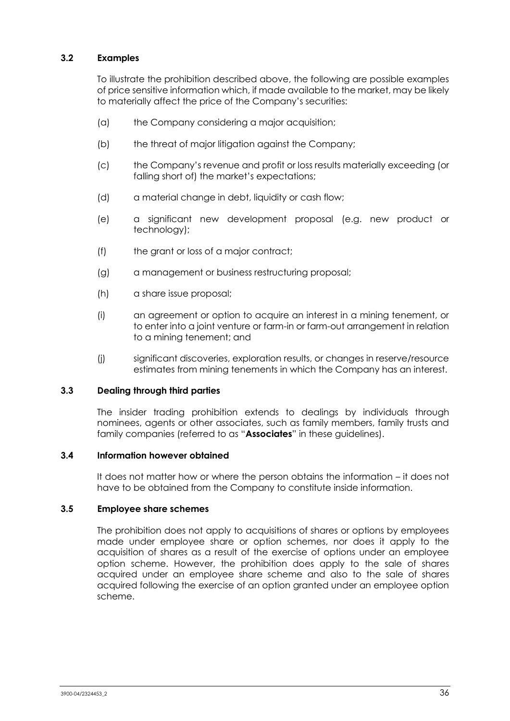## **3.2 Examples**

To illustrate the prohibition described above, the following are possible examples of price sensitive information which, if made available to the market, may be likely to materially affect the price of the Company's securities:

- (a) the Company considering a major acquisition;
- (b) the threat of major litigation against the Company;
- (c) the Company's revenue and profit or loss results materially exceeding (or falling short of) the market's expectations;
- (d) a material change in debt, liquidity or cash flow;
- (e) a significant new development proposal (e.g. new product or technology);
- (f) the grant or loss of a major contract;
- (g) a management or business restructuring proposal;
- (h) a share issue proposal;
- (i) an agreement or option to acquire an interest in a mining tenement, or to enter into a joint venture or farm-in or farm-out arrangement in relation to a mining tenement; and
- (j) significant discoveries, exploration results, or changes in reserve/resource estimates from mining tenements in which the Company has an interest.

#### **3.3 Dealing through third parties**

The insider trading prohibition extends to dealings by individuals through nominees, agents or other associates, such as family members, family trusts and family companies (referred to as "**Associates**" in these guidelines).

### **3.4 Information however obtained**

It does not matter how or where the person obtains the information – it does not have to be obtained from the Company to constitute inside information.

#### **3.5 Employee share schemes**

The prohibition does not apply to acquisitions of shares or options by employees made under employee share or option schemes, nor does it apply to the acquisition of shares as a result of the exercise of options under an employee option scheme. However, the prohibition does apply to the sale of shares acquired under an employee share scheme and also to the sale of shares acquired following the exercise of an option granted under an employee option scheme.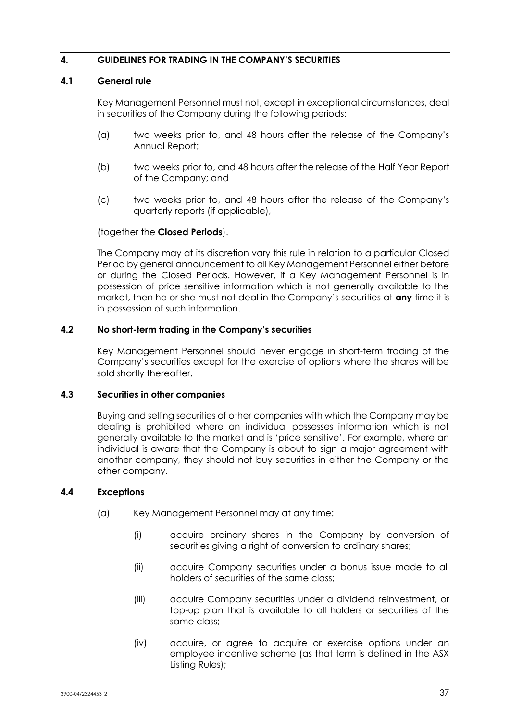## **4. GUIDELINES FOR TRADING IN THE COMPANY'S SECURITIES**

### <span id="page-38-0"></span>**4.1 General rule**

Key Management Personnel must not, except in exceptional circumstances, deal in securities of the Company during the following periods:

- (a) two weeks prior to, and 48 hours after the release of the Company's Annual Report;
- (b) two weeks prior to, and 48 hours after the release of the Half Year Report of the Company; and
- (c) two weeks prior to, and 48 hours after the release of the Company's quarterly reports (if applicable),

### (together the **Closed Periods**).

The Company may at its discretion vary this rule in relation to a particular Closed Period by general announcement to all Key Management Personnel either before or during the Closed Periods. However, if a Key Management Personnel is in possession of price sensitive information which is not generally available to the market, then he or she must not deal in the Company's securities at **any** time it is in possession of such information.

### **4.2 No short-term trading in the Company's securities**

Key Management Personnel should never engage in short-term trading of the Company's securities except for the exercise of options where the shares will be sold shortly thereafter.

#### **4.3 Securities in other companies**

Buying and selling securities of other companies with which the Company may be dealing is prohibited where an individual possesses information which is not generally available to the market and is 'price sensitive'. For example, where an individual is aware that the Company is about to sign a major agreement with another company, they should not buy securities in either the Company or the other company.

## **4.4 Exceptions**

- (a) Key Management Personnel may at any time:
	- (i) acquire ordinary shares in the Company by conversion of securities giving a right of conversion to ordinary shares;
	- (ii) acquire Company securities under a bonus issue made to all holders of securities of the same class;
	- (iii) acquire Company securities under a dividend reinvestment, or top-up plan that is available to all holders or securities of the same class;
	- (iv) acquire, or agree to acquire or exercise options under an employee incentive scheme (as that term is defined in the ASX Listing Rules);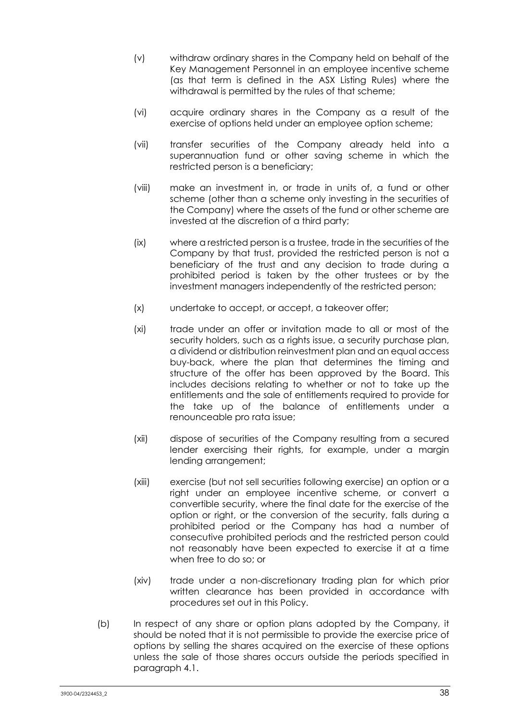- (v) withdraw ordinary shares in the Company held on behalf of the Key Management Personnel in an employee incentive scheme (as that term is defined in the ASX Listing Rules) where the withdrawal is permitted by the rules of that scheme;
- (vi) acquire ordinary shares in the Company as a result of the exercise of options held under an employee option scheme;
- (vii) transfer securities of the Company already held into a superannuation fund or other saving scheme in which the restricted person is a beneficiary;
- (viii) make an investment in, or trade in units of, a fund or other scheme (other than a scheme only investing in the securities of the Company) where the assets of the fund or other scheme are invested at the discretion of a third party;
- (ix) where a restricted person is a trustee, trade in the securities of the Company by that trust, provided the restricted person is not a beneficiary of the trust and any decision to trade during a prohibited period is taken by the other trustees or by the investment managers independently of the restricted person;
- (x) undertake to accept, or accept, a takeover offer;
- (xi) trade under an offer or invitation made to all or most of the security holders, such as a rights issue, a security purchase plan, a dividend or distribution reinvestment plan and an equal access buy-back, where the plan that determines the timing and structure of the offer has been approved by the Board. This includes decisions relating to whether or not to take up the entitlements and the sale of entitlements required to provide for the take up of the balance of entitlements under a renounceable pro rata issue;
- (xii) dispose of securities of the Company resulting from a secured lender exercising their rights, for example, under a margin lending arrangement;
- (xiii) exercise (but not sell securities following exercise) an option or a right under an employee incentive scheme, or convert a convertible security, where the final date for the exercise of the option or right, or the conversion of the security, falls during a prohibited period or the Company has had a number of consecutive prohibited periods and the restricted person could not reasonably have been expected to exercise it at a time when free to do so; or
- (xiv) trade under a non-discretionary trading plan for which prior written clearance has been provided in accordance with procedures set out in this Policy.
- (b) In respect of any share or option plans adopted by the Company, it should be noted that it is not permissible to provide the exercise price of options by selling the shares acquired on the exercise of these options unless the sale of those shares occurs outside the periods specified in paragraph [4.1.](#page-38-0)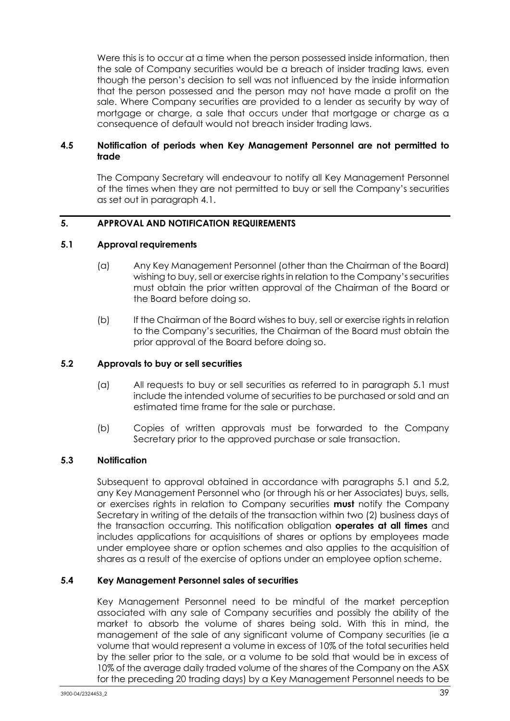Were this is to occur at a time when the person possessed inside information, then the sale of Company securities would be a breach of insider trading laws, even though the person's decision to sell was not influenced by the inside information that the person possessed and the person may not have made a profit on the sale. Where Company securities are provided to a lender as security by way of mortgage or charge, a sale that occurs under that mortgage or charge as a consequence of default would not breach insider trading laws.

## **4.5 Notification of periods when Key Management Personnel are not permitted to trade**

The Company Secretary will endeavour to notify all Key Management Personnel of the times when they are not permitted to buy or sell the Company's securities as set out in paragraph [4.1.](#page-38-0)

## **5. APPROVAL AND NOTIFICATION REQUIREMENTS**

### <span id="page-40-0"></span>**5.1 Approval requirements**

- (a) Any Key Management Personnel (other than the Chairman of the Board) wishing to buy, sell or exercise rights in relation to the Company's securities must obtain the prior written approval of the Chairman of the Board or the Board before doing so.
- (b) If the Chairman of the Board wishes to buy, sell or exercise rights in relation to the Company's securities, the Chairman of the Board must obtain the prior approval of the Board before doing so.

### <span id="page-40-1"></span>**5.2 Approvals to buy or sell securities**

- (a) All requests to buy or sell securities as referred to in paragraph [5.1](#page-40-0) must include the intended volume of securities to be purchased or sold and an estimated time frame for the sale or purchase.
- (b) Copies of written approvals must be forwarded to the Company Secretary prior to the approved purchase or sale transaction.

## **5.3 Notification**

Subsequent to approval obtained in accordance with paragraphs [5.1](#page-40-0) and [5.2,](#page-40-1) any Key Management Personnel who (or through his or her Associates) buys, sells, or exercises rights in relation to Company securities **must** notify the Company Secretary in writing of the details of the transaction within two (2) business days of the transaction occurring. This notification obligation **operates at all times** and includes applications for acquisitions of shares or options by employees made under employee share or option schemes and also applies to the acquisition of shares as a result of the exercise of options under an employee option scheme.

#### **5.4 Key Management Personnel sales of securities**

Key Management Personnel need to be mindful of the market perception associated with any sale of Company securities and possibly the ability of the market to absorb the volume of shares being sold. With this in mind, the management of the sale of any significant volume of Company securities (ie a volume that would represent a volume in excess of 10% of the total securities held by the seller prior to the sale, or a volume to be sold that would be in excess of 10% of the average daily traded volume of the shares of the Company on the ASX for the preceding 20 trading days) by a Key Management Personnel needs to be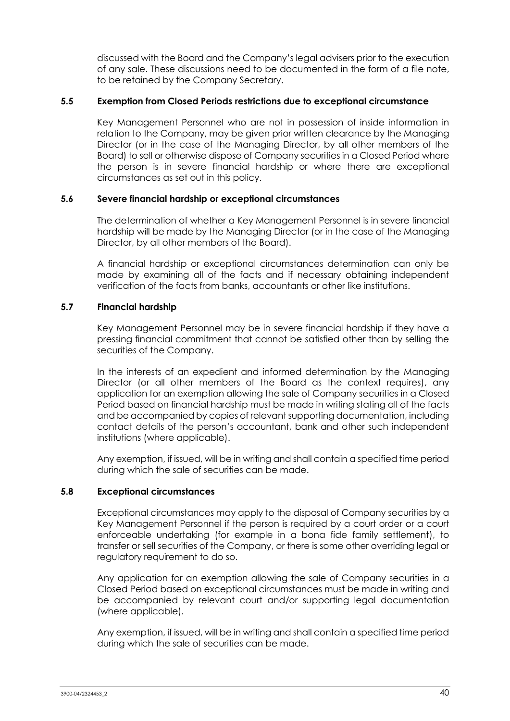discussed with the Board and the Company's legal advisers prior to the execution of any sale. These discussions need to be documented in the form of a file note, to be retained by the Company Secretary.

### **5.5 Exemption from Closed Periods restrictions due to exceptional circumstance**

Key Management Personnel who are not in possession of inside information in relation to the Company, may be given prior written clearance by the Managing Director (or in the case of the Managing Director, by all other members of the Board) to sell or otherwise dispose of Company securities in a Closed Period where the person is in severe financial hardship or where there are exceptional circumstances as set out in this policy.

### **5.6 Severe financial hardship or exceptional circumstances**

The determination of whether a Key Management Personnel is in severe financial hardship will be made by the Managing Director (or in the case of the Managing Director, by all other members of the Board).

A financial hardship or exceptional circumstances determination can only be made by examining all of the facts and if necessary obtaining independent verification of the facts from banks, accountants or other like institutions.

## **5.7 Financial hardship**

Key Management Personnel may be in severe financial hardship if they have a pressing financial commitment that cannot be satisfied other than by selling the securities of the Company.

In the interests of an expedient and informed determination by the Managing Director (or all other members of the Board as the context requires), any application for an exemption allowing the sale of Company securities in a Closed Period based on financial hardship must be made in writing stating all of the facts and be accompanied by copies of relevant supporting documentation, including contact details of the person's accountant, bank and other such independent institutions (where applicable).

Any exemption, if issued, will be in writing and shall contain a specified time period during which the sale of securities can be made.

### **5.8 Exceptional circumstances**

Exceptional circumstances may apply to the disposal of Company securities by a Key Management Personnel if the person is required by a court order or a court enforceable undertaking (for example in a bona fide family settlement), to transfer or sell securities of the Company, or there is some other overriding legal or regulatory requirement to do so.

Any application for an exemption allowing the sale of Company securities in a Closed Period based on exceptional circumstances must be made in writing and be accompanied by relevant court and/or supporting legal documentation (where applicable).

Any exemption, if issued, will be in writing and shall contain a specified time period during which the sale of securities can be made.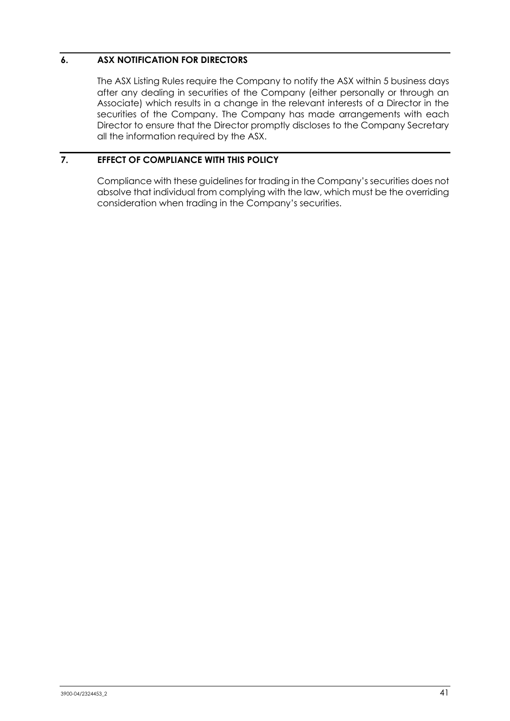## **6. ASX NOTIFICATION FOR DIRECTORS**

The ASX Listing Rules require the Company to notify the ASX within 5 business days after any dealing in securities of the Company (either personally or through an Associate) which results in a change in the relevant interests of a Director in the securities of the Company. The Company has made arrangements with each Director to ensure that the Director promptly discloses to the Company Secretary all the information required by the ASX.

## **7. EFFECT OF COMPLIANCE WITH THIS POLICY**

Compliance with these guidelines for trading in the Company's securities does not absolve that individual from complying with the law, which must be the overriding consideration when trading in the Company's securities.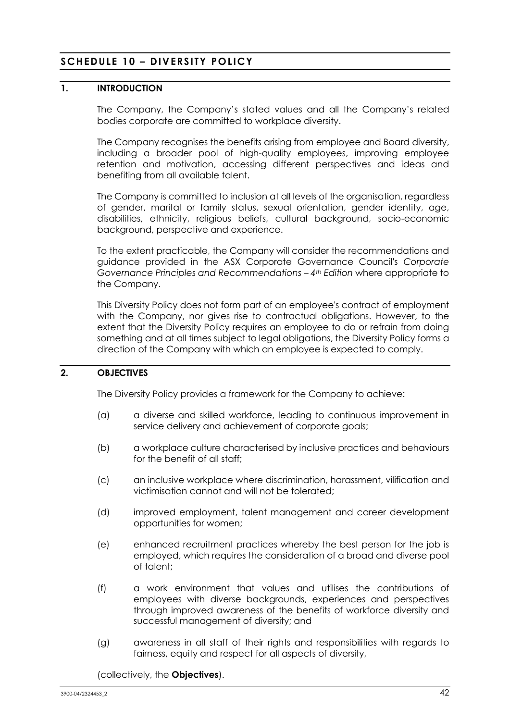# **SCHEDULE 10 – DIVERSITY POLICY**

## **1. INTRODUCTION**

The Company, the Company's stated values and all the Company's related bodies corporate are committed to workplace diversity.

The Company recognises the benefits arising from employee and Board diversity, including a broader pool of high-quality employees, improving employee retention and motivation, accessing different perspectives and ideas and benefiting from all available talent.

The Company is committed to inclusion at all levels of the organisation, regardless of gender, marital or family status, sexual orientation, gender identity, age, disabilities, ethnicity, religious beliefs, cultural background, socio-economic background, perspective and experience.

To the extent practicable, the Company will consider the recommendations and guidance provided in the ASX Corporate Governance Council's *Corporate Governance Principles and Recommendations – 4th Edition* where appropriate to the Company.

This Diversity Policy does not form part of an employee's contract of employment with the Company, nor gives rise to contractual obligations. However, to the extent that the Diversity Policy requires an employee to do or refrain from doing something and at all times subject to legal obligations, the Diversity Policy forms a direction of the Company with which an employee is expected to comply.

## **2. OBJECTIVES**

The Diversity Policy provides a framework for the Company to achieve:

- (a) a diverse and skilled workforce, leading to continuous improvement in service delivery and achievement of corporate goals;
- (b) a workplace culture characterised by inclusive practices and behaviours for the benefit of all staff;
- (c) an inclusive workplace where discrimination, harassment, vilification and victimisation cannot and will not be tolerated;
- (d) improved employment, talent management and career development opportunities for women;
- (e) enhanced recruitment practices whereby the best person for the job is employed, which requires the consideration of a broad and diverse pool of talent;
- (f) a work environment that values and utilises the contributions of employees with diverse backgrounds, experiences and perspectives through improved awareness of the benefits of workforce diversity and successful management of diversity; and
- (g) awareness in all staff of their rights and responsibilities with regards to fairness, equity and respect for all aspects of diversity,

(collectively, the **Objectives**).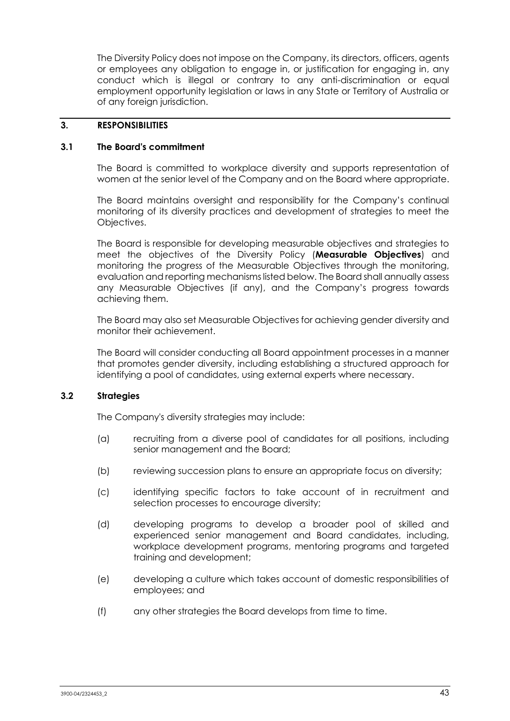The Diversity Policy does not impose on the Company, its directors, officers, agents or employees any obligation to engage in, or justification for engaging in, any conduct which is illegal or contrary to any anti-discrimination or equal employment opportunity legislation or laws in any State or Territory of Australia or of any foreign jurisdiction.

### **3. RESPONSIBILITIES**

### **3.1 The Board's commitment**

The Board is committed to workplace diversity and supports representation of women at the senior level of the Company and on the Board where appropriate.

The Board maintains oversight and responsibility for the Company's continual monitoring of its diversity practices and development of strategies to meet the Objectives.

The Board is responsible for developing measurable objectives and strategies to meet the objectives of the Diversity Policy (**Measurable Objectives**) and monitoring the progress of the Measurable Objectives through the monitoring, evaluation and reporting mechanisms listed below. The Board shall annually assess any Measurable Objectives (if any), and the Company's progress towards achieving them.

The Board may also set Measurable Objectives for achieving gender diversity and monitor their achievement.

The Board will consider conducting all Board appointment processes in a manner that promotes gender diversity, including establishing a structured approach for identifying a pool of candidates, using external experts where necessary.

## **3.2 Strategies**

The Company's diversity strategies may include:

- (a) recruiting from a diverse pool of candidates for all positions, including senior management and the Board;
- (b) reviewing succession plans to ensure an appropriate focus on diversity;
- (c) identifying specific factors to take account of in recruitment and selection processes to encourage diversity;
- (d) developing programs to develop a broader pool of skilled and experienced senior management and Board candidates, including, workplace development programs, mentoring programs and targeted training and development;
- (e) developing a culture which takes account of domestic responsibilities of employees; and
- (f) any other strategies the Board develops from time to time.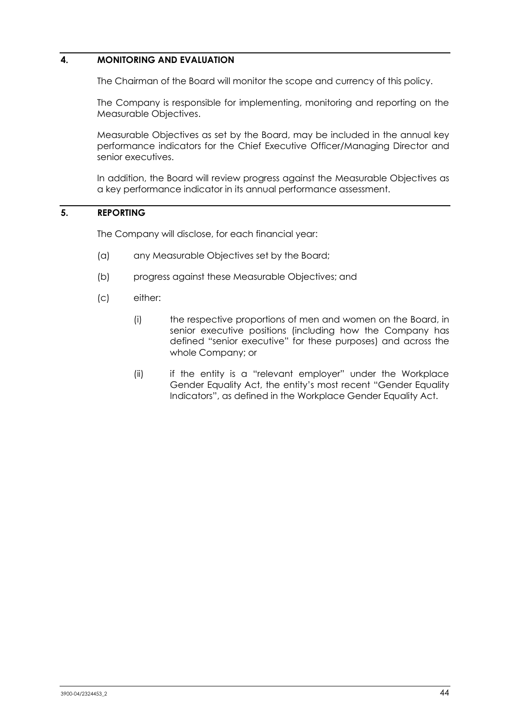## **4. MONITORING AND EVALUATION**

The Chairman of the Board will monitor the scope and currency of this policy.

The Company is responsible for implementing, monitoring and reporting on the Measurable Objectives.

Measurable Objectives as set by the Board, may be included in the annual key performance indicators for the Chief Executive Officer/Managing Director and senior executives.

In addition, the Board will review progress against the Measurable Objectives as a key performance indicator in its annual performance assessment.

### **5. REPORTING**

The Company will disclose, for each financial year:

- (a) any Measurable Objectives set by the Board;
- (b) progress against these Measurable Objectives; and
- (c) either:
	- (i) the respective proportions of men and women on the Board, in senior executive positions (including how the Company has defined "senior executive" for these purposes) and across the whole Company; or
	- (ii) if the entity is a "relevant employer" under the Workplace Gender Equality Act, the entity's most recent "Gender Equality Indicators", as defined in the Workplace Gender Equality Act.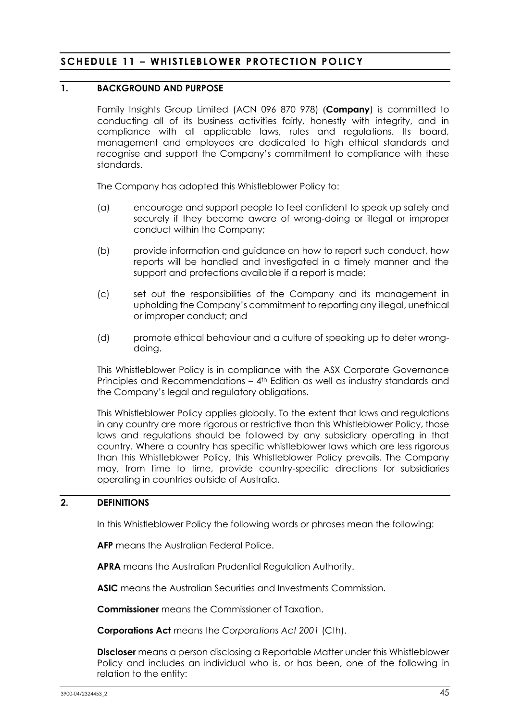# **SCHEDULE 11 – WHISTLEBLOWER PROTECTION POLICY**

## **1. BACKGROUND AND PURPOSE**

Family Insights Group Limited (ACN 096 870 978) (**Company**) is committed to conducting all of its business activities fairly, honestly with integrity, and in compliance with all applicable laws, rules and regulations. Its board, management and employees are dedicated to high ethical standards and recognise and support the Company's commitment to compliance with these standards.

The Company has adopted this Whistleblower Policy to:

- (a) encourage and support people to feel confident to speak up safely and securely if they become aware of wrong-doing or illegal or improper conduct within the Company;
- (b) provide information and guidance on how to report such conduct, how reports will be handled and investigated in a timely manner and the support and protections available if a report is made;
- (c) set out the responsibilities of the Company and its management in upholding the Company's commitment to reporting any illegal, unethical or improper conduct; and
- (d) promote ethical behaviour and a culture of speaking up to deter wrongdoing.

This Whistleblower Policy is in compliance with the ASX Corporate Governance Principles and Recommendations – 4<sup>th</sup> Edition as well as industry standards and the Company's legal and regulatory obligations.

This Whistleblower Policy applies globally. To the extent that laws and regulations in any country are more rigorous or restrictive than this Whistleblower Policy, those laws and regulations should be followed by any subsidiary operating in that country. Where a country has specific whistleblower laws which are less rigorous than this Whistleblower Policy, this Whistleblower Policy prevails. The Company may, from time to time, provide country-specific directions for subsidiaries operating in countries outside of Australia.

## **2. DEFINITIONS**

In this Whistleblower Policy the following words or phrases mean the following:

**AFP** means the Australian Federal Police.

**APRA** means the Australian Prudential Regulation Authority.

**ASIC** means the Australian Securities and Investments Commission.

**Commissioner** means the Commissioner of Taxation.

**Corporations Act** means the *Corporations Act 2001* (Cth).

**Discloser** means a person disclosing a Reportable Matter under this Whistleblower Policy and includes an individual who is, or has been, one of the following in relation to the entity: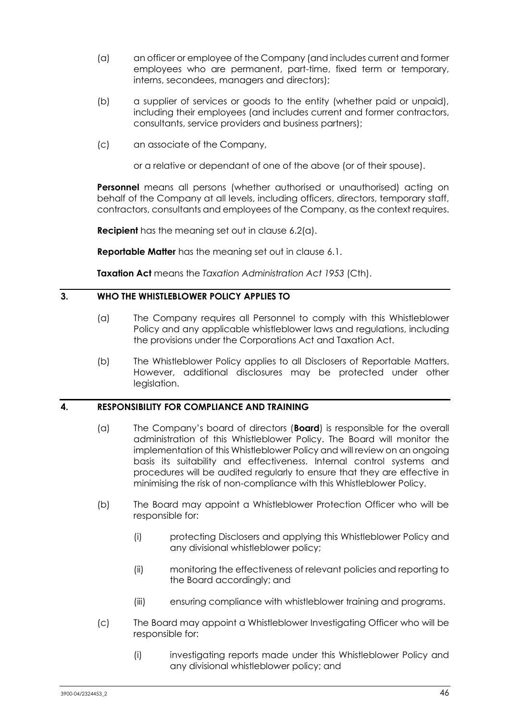- (a) an officer or employee of the Company (and includes current and former employees who are permanent, part-time, fixed term or temporary, interns, secondees, managers and directors);
- (b) a supplier of services or goods to the entity (whether paid or unpaid), including their employees (and includes current and former contractors, consultants, service providers and business partners);
- (c) an associate of the Company,

or a relative or dependant of one of the above (or of their spouse).

**Personnel** means all persons (whether authorised or unauthorised) acting on behalf of the Company at all levels, including officers, directors, temporary staff, contractors, consultants and employees of the Company, as the context requires.

**Recipient** has the meaning set out in clause [6.2\(a\).](#page-50-0)

**Reportable Matter** has the meaning set out in clause [6.1.](#page-48-0)

**Taxation Act** means the *Taxation Administration Act 1953* (Cth).

## **3. WHO THE WHISTLEBLOWER POLICY APPLIES TO**

- (a) The Company requires all Personnel to comply with this Whistleblower Policy and any applicable whistleblower laws and regulations, including the provisions under the Corporations Act and Taxation Act.
- (b) The Whistleblower Policy applies to all Disclosers of Reportable Matters. However, additional disclosures may be protected under other legislation.

## **4. RESPONSIBILITY FOR COMPLIANCE AND TRAINING**

- (a) The Company's board of directors (**Board**) is responsible for the overall administration of this Whistleblower Policy. The Board will monitor the implementation of this Whistleblower Policy and will review on an ongoing basis its suitability and effectiveness. Internal control systems and procedures will be audited regularly to ensure that they are effective in minimising the risk of non-compliance with this Whistleblower Policy.
- (b) The Board may appoint a Whistleblower Protection Officer who will be responsible for:
	- (i) protecting Disclosers and applying this Whistleblower Policy and any divisional whistleblower policy;
	- (ii) monitoring the effectiveness of relevant policies and reporting to the Board accordingly; and
	- (iii) ensuring compliance with whistleblower training and programs.
- (c) The Board may appoint a Whistleblower Investigating Officer who will be responsible for:
	- (i) investigating reports made under this Whistleblower Policy and any divisional whistleblower policy; and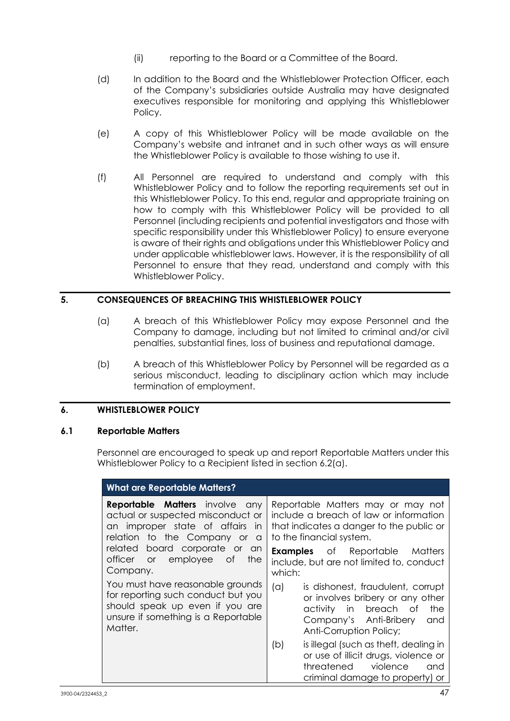- (ii) reporting to the Board or a Committee of the Board.
- (d) In addition to the Board and the Whistleblower Protection Officer, each of the Company's subsidiaries outside Australia may have designated executives responsible for monitoring and applying this Whistleblower Policy.
- (e) A copy of this Whistleblower Policy will be made available on the Company's website and intranet and in such other ways as will ensure the Whistleblower Policy is available to those wishing to use it.
- (f) All Personnel are required to understand and comply with this Whistleblower Policy and to follow the reporting requirements set out in this Whistleblower Policy. To this end, regular and appropriate training on how to comply with this Whistleblower Policy will be provided to all Personnel (including recipients and potential investigators and those with specific responsibility under this Whistleblower Policy) to ensure everyone is aware of their rights and obligations under this Whistleblower Policy and under applicable whistleblower laws. However, it is the responsibility of all Personnel to ensure that they read, understand and comply with this Whistleblower Policy.

## **5. CONSEQUENCES OF BREACHING THIS WHISTLEBLOWER POLICY**

- (a) A breach of this Whistleblower Policy may expose Personnel and the Company to damage, including but not limited to criminal and/or civil penalties, substantial fines, loss of business and reputational damage.
- (b) A breach of this Whistleblower Policy by Personnel will be regarded as a serious misconduct, leading to disciplinary action which may include termination of employment.

## **6. WHISTLEBLOWER POLICY**

#### <span id="page-48-0"></span>**6.1 Reportable Matters**

Personnel are encouraged to speak up and report Reportable Matters under this Whistleblower Policy to a Recipient listed in section [6.2\(a\).](#page-50-0)

| <b>What are Reportable Matters?</b>                                                                                                                             |                                                                                                                                                                          |
|-----------------------------------------------------------------------------------------------------------------------------------------------------------------|--------------------------------------------------------------------------------------------------------------------------------------------------------------------------|
| <b>Reportable Matters</b> involve<br>any<br>actual or suspected misconduct or<br>an improper state of affairs<br>- in<br>relation to the Company or<br><b>a</b> | Reportable Matters may or may not<br>include a breach of law or information<br>that indicates a danger to the public or<br>to the financial system.                      |
| related board corporate or an<br>officer or<br>employee of<br>the<br>Company.                                                                                   | <b>Examples</b> of Reportable<br>Matters<br>include, but are not limited to, conduct<br>which:                                                                           |
| You must have reasonable grounds<br>for reporting such conduct but you<br>should speak up even if you are<br>unsure if something is a Reportable<br>Matter.     | is dishonest, fraudulent, corrupt<br>(a)<br>or involves bribery or any other<br>activity in breach of<br>the<br>Company's Anti-Bribery<br>and<br>Anti-Corruption Policy; |
|                                                                                                                                                                 | is illegal (such as theft, dealing in<br>(b)<br>or use of illicit drugs, violence or<br>threatened<br>violence<br>and<br>criminal damage to property) or                 |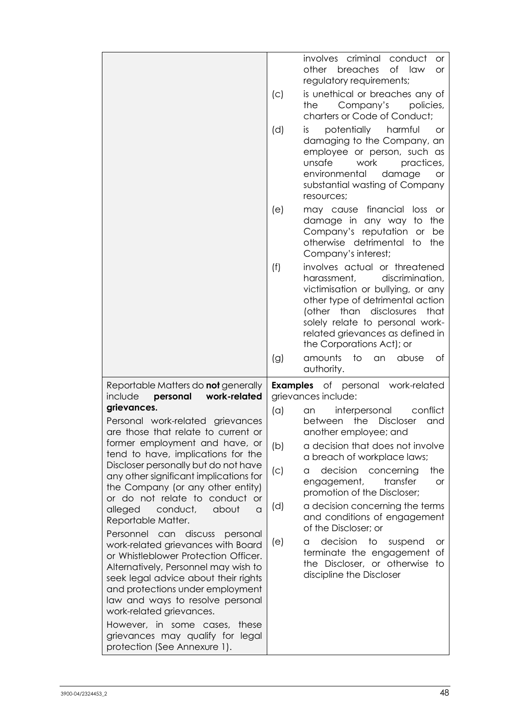|                                                                                                                                                                                                                                                                                                                                         | (C) | involves criminal conduct<br>or.<br>breaches<br>of<br>law<br>other<br><b>or</b><br>regulatory requirements;<br>is unethical or breaches any of                                                                                                                                  |
|-----------------------------------------------------------------------------------------------------------------------------------------------------------------------------------------------------------------------------------------------------------------------------------------------------------------------------------------|-----|---------------------------------------------------------------------------------------------------------------------------------------------------------------------------------------------------------------------------------------------------------------------------------|
|                                                                                                                                                                                                                                                                                                                                         |     | Company's<br>the<br>policies,<br>charters or Code of Conduct;                                                                                                                                                                                                                   |
|                                                                                                                                                                                                                                                                                                                                         | (d) | potentially harmful<br>is.<br><b>or</b><br>damaging to the Company, an<br>employee or person, such as<br>unsafe<br>work<br>practices,<br>environmental<br>damage<br>or<br>substantial wasting of Company<br>resources;                                                          |
|                                                                                                                                                                                                                                                                                                                                         | (e) | financial<br>loss<br>may cause<br>or -<br>damage in any way<br>the<br>to<br>Company's reputation or<br>be<br>otherwise detrimental to<br>the<br>Company's interest;                                                                                                             |
|                                                                                                                                                                                                                                                                                                                                         | (f) | involves actual or threatened<br>discrimination,<br>harassment,<br>victimisation or bullying, or any<br>other type of detrimental action<br>(other than disclosures<br>that<br>solely relate to personal work-<br>related grievances as defined in<br>the Corporations Act); or |
|                                                                                                                                                                                                                                                                                                                                         | (g) | amounts<br>to<br>abuse<br>an<br>Оf                                                                                                                                                                                                                                              |
|                                                                                                                                                                                                                                                                                                                                         |     | authority.                                                                                                                                                                                                                                                                      |
| Reportable Matters do <b>not</b> generally<br>personal<br>work-related<br>include                                                                                                                                                                                                                                                       |     | <b>Examples</b> of personal work-related<br>grievances include:                                                                                                                                                                                                                 |
| grievances.<br>Personal work-related grievances<br>are those that relate to current or                                                                                                                                                                                                                                                  | (a) | conflict<br>interpersonal<br>an.<br><b>Discloser</b><br>between<br>the<br>and<br>another employee; and                                                                                                                                                                          |
| former employment and have, or<br>tend to have, implications for the                                                                                                                                                                                                                                                                    | (b) | a decision that does not involve<br>a breach of workplace laws;                                                                                                                                                                                                                 |
| Discloser personally but do not have<br>any other significant implications for<br>the Company (or any other entity)                                                                                                                                                                                                                     | (c) | decision<br>the<br>concerning<br>a<br>engagement,<br>transfer<br><b>or</b><br>promotion of the Discloser;                                                                                                                                                                       |
| or do not relate to conduct<br><b>or</b><br>alleged<br>conduct,<br>about<br>$\alpha$<br>Reportable Matter.                                                                                                                                                                                                                              | (d) | a decision concerning the terms<br>and conditions of engagement<br>of the Discloser; or                                                                                                                                                                                         |
| Personnel can discuss<br>personal<br>work-related grievances with Board<br>or Whistleblower Protection Officer.<br>Alternatively, Personnel may wish to<br>seek legal advice about their rights<br>and protections under employment<br>law and ways to resolve personal<br>work-related grievances.<br>However, in some cases,<br>these | (e) | decision<br>to<br>suspend<br>a<br>or<br>terminate the engagement<br>Οf<br>the Discloser, or otherwise<br>to<br>discipline the Discloser                                                                                                                                         |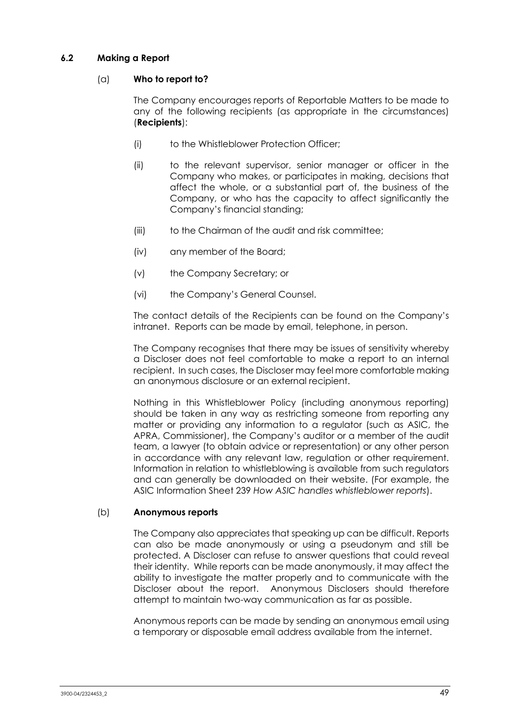## <span id="page-50-0"></span>**6.2 Making a Report**

## (a) **Who to report to?**

The Company encourages reports of Reportable Matters to be made to any of the following recipients (as appropriate in the circumstances) (**Recipients**):

- (i) to the Whistleblower Protection Officer;
- (ii) to the relevant supervisor, senior manager or officer in the Company who makes, or participates in making, decisions that affect the whole, or a substantial part of, the business of the Company, or who has the capacity to affect significantly the Company's financial standing;
- (iii) to the Chairman of the audit and risk committee:
- (iv) any member of the Board;
- (v) the Company Secretary; or
- (vi) the Company's General Counsel.

The contact details of the Recipients can be found on the Company's intranet. Reports can be made by email, telephone, in person.

The Company recognises that there may be issues of sensitivity whereby a Discloser does not feel comfortable to make a report to an internal recipient. In such cases, the Discloser may feel more comfortable making an anonymous disclosure or an external recipient.

Nothing in this Whistleblower Policy (including anonymous reporting) should be taken in any way as restricting someone from reporting any matter or providing any information to a regulator (such as ASIC, the APRA, Commissioner), the Company's auditor or a member of the audit team, a lawyer (to obtain advice or representation) or any other person in accordance with any relevant law, regulation or other requirement. Information in relation to whistleblowing is available from such regulators and can generally be downloaded on their website. (For example, the ASIC Information Sheet 239 *How ASIC handles whistleblower reports*).

## (b) **Anonymous reports**

The Company also appreciates that speaking up can be difficult. Reports can also be made anonymously or using a pseudonym and still be protected. A Discloser can refuse to answer questions that could reveal their identity. While reports can be made anonymously, it may affect the ability to investigate the matter properly and to communicate with the Discloser about the report. Anonymous Disclosers should therefore attempt to maintain two-way communication as far as possible.

Anonymous reports can be made by sending an anonymous email using a temporary or disposable email address available from the internet.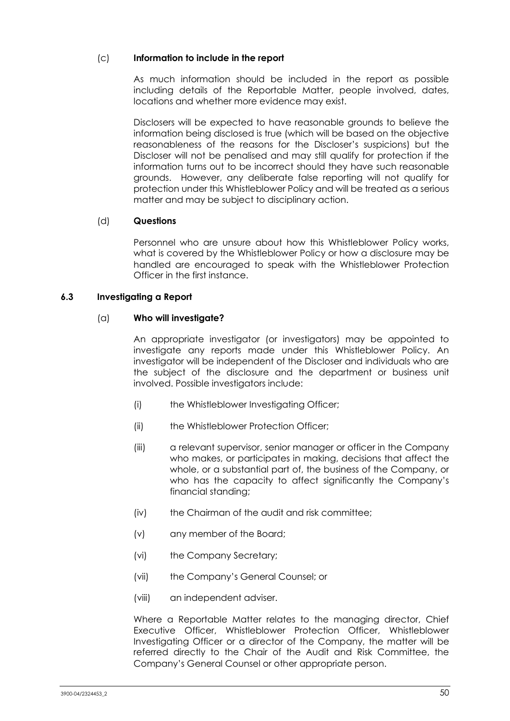## (c) **Information to include in the report**

As much information should be included in the report as possible including details of the Reportable Matter, people involved, dates, locations and whether more evidence may exist.

Disclosers will be expected to have reasonable grounds to believe the information being disclosed is true (which will be based on the objective reasonableness of the reasons for the Discloser's suspicions) but the Discloser will not be penalised and may still qualify for protection if the information turns out to be incorrect should they have such reasonable grounds. However, any deliberate false reporting will not qualify for protection under this Whistleblower Policy and will be treated as a serious matter and may be subject to disciplinary action.

## (d) **Questions**

Personnel who are unsure about how this Whistleblower Policy works, what is covered by the Whistleblower Policy or how a disclosure may be handled are encouraged to speak with the Whistleblower Protection Officer in the first instance.

## **6.3 Investigating a Report**

## (a) **Who will investigate?**

An appropriate investigator (or investigators) may be appointed to investigate any reports made under this Whistleblower Policy. An investigator will be independent of the Discloser and individuals who are the subject of the disclosure and the department or business unit involved. Possible investigators include:

- (i) the Whistleblower Investigating Officer;
- (ii) the Whistleblower Protection Officer;
- (iii) a relevant supervisor, senior manager or officer in the Company who makes, or participates in making, decisions that affect the whole, or a substantial part of, the business of the Company, or who has the capacity to affect significantly the Company's financial standing;
- (iv) the Chairman of the audit and risk committee;
- (v) any member of the Board;
- (vi) the Company Secretary;
- (vii) the Company's General Counsel; or
- (viii) an independent adviser.

Where a Reportable Matter relates to the managing director, Chief Executive Officer, Whistleblower Protection Officer, Whistleblower Investigating Officer or a director of the Company, the matter will be referred directly to the Chair of the Audit and Risk Committee, the Company's General Counsel or other appropriate person.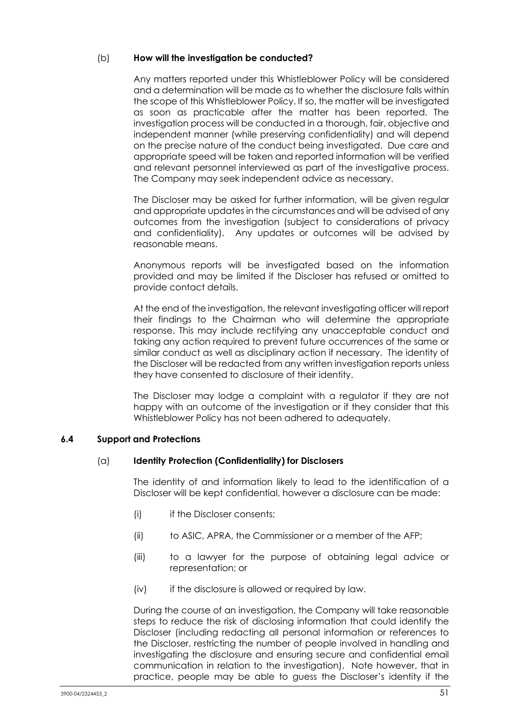## (b) **How will the investigation be conducted?**

Any matters reported under this Whistleblower Policy will be considered and a determination will be made as to whether the disclosure falls within the scope of this Whistleblower Policy. If so, the matter will be investigated as soon as practicable after the matter has been reported. The investigation process will be conducted in a thorough, fair, objective and independent manner (while preserving confidentiality) and will depend on the precise nature of the conduct being investigated. Due care and appropriate speed will be taken and reported information will be verified and relevant personnel interviewed as part of the investigative process. The Company may seek independent advice as necessary.

The Discloser may be asked for further information, will be given regular and appropriate updates in the circumstances and will be advised of any outcomes from the investigation (subject to considerations of privacy and confidentiality). Any updates or outcomes will be advised by reasonable means.

Anonymous reports will be investigated based on the information provided and may be limited if the Discloser has refused or omitted to provide contact details.

At the end of the investigation, the relevant investigating officer will report their findings to the Chairman who will determine the appropriate response. This may include rectifying any unacceptable conduct and taking any action required to prevent future occurrences of the same or similar conduct as well as disciplinary action if necessary. The identity of the Discloser will be redacted from any written investigation reports unless they have consented to disclosure of their identity.

The Discloser may lodge a complaint with a regulator if they are not happy with an outcome of the investigation or if they consider that this Whistleblower Policy has not been adhered to adequately.

## **6.4 Support and Protections**

## (a) **Identity Protection (Confidentiality) for Disclosers**

The identity of and information likely to lead to the identification of a Discloser will be kept confidential, however a disclosure can be made:

- (i) if the Discloser consents;
- (ii) to ASIC, APRA, the Commissioner or a member of the AFP;
- (iii) to a lawyer for the purpose of obtaining legal advice or representation; or
- (iv) if the disclosure is allowed or required by law.

During the course of an investigation, the Company will take reasonable steps to reduce the risk of disclosing information that could identify the Discloser (including redacting all personal information or references to the Discloser, restricting the number of people involved in handling and investigating the disclosure and ensuring secure and confidential email communication in relation to the investigation). Note however, that in practice, people may be able to guess the Discloser's identity if the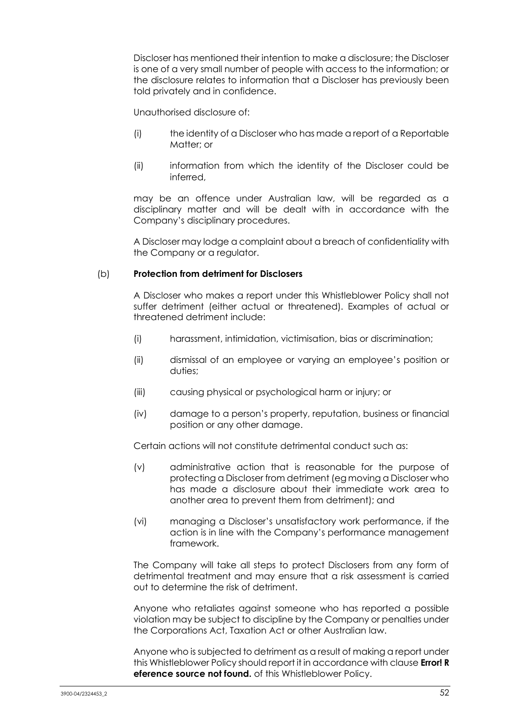Discloser has mentioned their intention to make a disclosure; the Discloser is one of a very small number of people with access to the information; or the disclosure relates to information that a Discloser has previously been told privately and in confidence.

Unauthorised disclosure of:

- (i) the identity of a Discloser who has made a report of a Reportable Matter; or
- (ii) information from which the identity of the Discloser could be inferred,

may be an offence under Australian law, will be regarded as a disciplinary matter and will be dealt with in accordance with the Company's disciplinary procedures.

A Discloser may lodge a complaint about a breach of confidentiality with the Company or a regulator.

## (b) **Protection from detriment for Disclosers**

A Discloser who makes a report under this Whistleblower Policy shall not suffer detriment (either actual or threatened). Examples of actual or threatened detriment include:

- (i) harassment, intimidation, victimisation, bias or discrimination;
- (ii) dismissal of an employee or varying an employee's position or duties;
- (iii) causing physical or psychological harm or injury; or
- (iv) damage to a person's property, reputation, business or financial position or any other damage.

Certain actions will not constitute detrimental conduct such as:

- (v) administrative action that is reasonable for the purpose of protecting a Discloser from detriment (eg moving a Discloser who has made a disclosure about their immediate work area to another area to prevent them from detriment); and
- (vi) managing a Discloser's unsatisfactory work performance, if the action is in line with the Company's performance management framework.

The Company will take all steps to protect Disclosers from any form of detrimental treatment and may ensure that a risk assessment is carried out to determine the risk of detriment.

Anyone who retaliates against someone who has reported a possible violation may be subject to discipline by the Company or penalties under the Corporations Act, Taxation Act or other Australian law.

Anyone who is subjected to detriment as a result of making a report under this Whistleblower Policy should report it in accordance with clause **Error! R eference source not found.** of this Whistleblower Policy.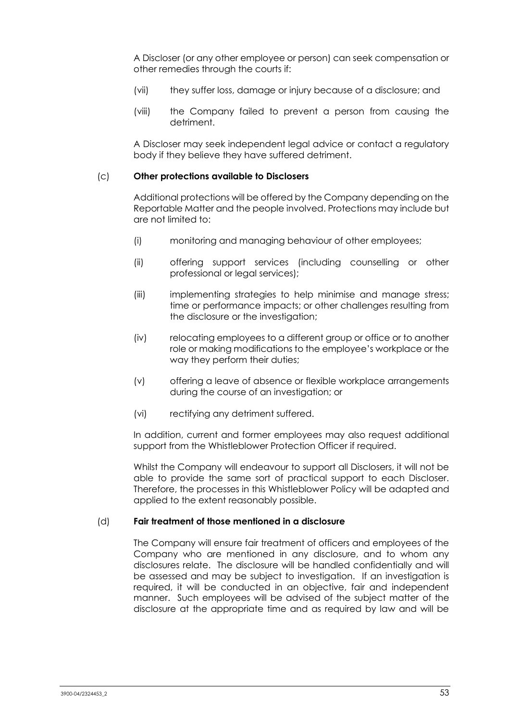A Discloser (or any other employee or person) can seek compensation or other remedies through the courts if:

- (vii) they suffer loss, damage or injury because of a disclosure; and
- (viii) the Company failed to prevent a person from causing the detriment.

A Discloser may seek independent legal advice or contact a regulatory body if they believe they have suffered detriment.

#### (c) **Other protections available to Disclosers**

Additional protections will be offered by the Company depending on the Reportable Matter and the people involved. Protections may include but are not limited to:

- (i) monitoring and managing behaviour of other employees;
- (ii) offering support services (including counselling or other professional or legal services);
- (iii) implementing strategies to help minimise and manage stress; time or performance impacts; or other challenges resulting from the disclosure or the investigation;
- (iv) relocating employees to a different group or office or to another role or making modifications to the employee's workplace or the way they perform their duties;
- (v) offering a leave of absence or flexible workplace arrangements during the course of an investigation; or
- (vi) rectifying any detriment suffered.

In addition, current and former employees may also request additional support from the Whistleblower Protection Officer if required.

Whilst the Company will endeavour to support all Disclosers, it will not be able to provide the same sort of practical support to each Discloser. Therefore, the processes in this Whistleblower Policy will be adapted and applied to the extent reasonably possible.

#### (d) **Fair treatment of those mentioned in a disclosure**

The Company will ensure fair treatment of officers and employees of the Company who are mentioned in any disclosure, and to whom any disclosures relate. The disclosure will be handled confidentially and will be assessed and may be subject to investigation. If an investigation is required, it will be conducted in an objective, fair and independent manner. Such employees will be advised of the subject matter of the disclosure at the appropriate time and as required by law and will be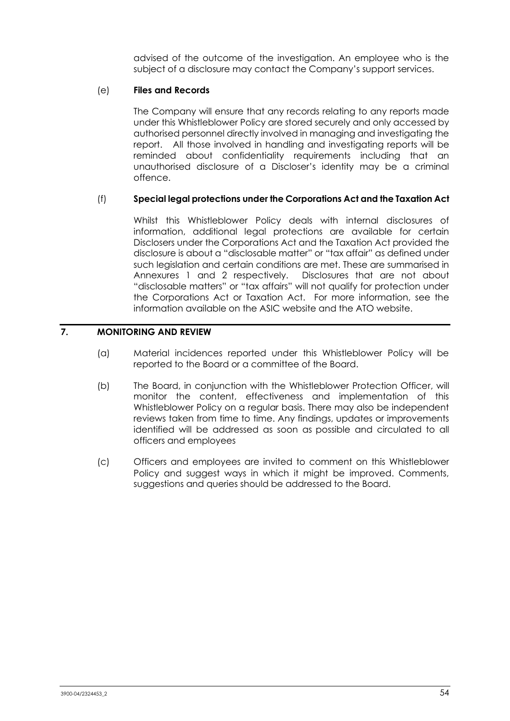advised of the outcome of the investigation. An employee who is the subject of a disclosure may contact the Company's support services.

## (e) **Files and Records**

The Company will ensure that any records relating to any reports made under this Whistleblower Policy are stored securely and only accessed by authorised personnel directly involved in managing and investigating the report. All those involved in handling and investigating reports will be reminded about confidentiality requirements including that an unauthorised disclosure of a Discloser's identity may be a criminal offence.

## (f) **Special legal protections under the Corporations Act and the Taxation Act**

Whilst this Whistleblower Policy deals with internal disclosures of information, additional legal protections are available for certain Disclosers under the Corporations Act and the Taxation Act provided the disclosure is about a "disclosable matter" or "tax affair" as defined under such legislation and certain conditions are met. These are summarised in Annexures 1 and 2 respectively. Disclosures that are not about "disclosable matters" or "tax affairs" will not qualify for protection under the Corporations Act or Taxation Act. For more information, see the information available on the ASIC website and the ATO website.

# **7. MONITORING AND REVIEW**

- (a) Material incidences reported under this Whistleblower Policy will be reported to the Board or a committee of the Board.
- (b) The Board, in conjunction with the Whistleblower Protection Officer, will monitor the content, effectiveness and implementation of this Whistleblower Policy on a regular basis. There may also be independent reviews taken from time to time. Any findings, updates or improvements identified will be addressed as soon as possible and circulated to all officers and employees
- (c) Officers and employees are invited to comment on this Whistleblower Policy and suggest ways in which it might be improved. Comments, suggestions and queries should be addressed to the Board.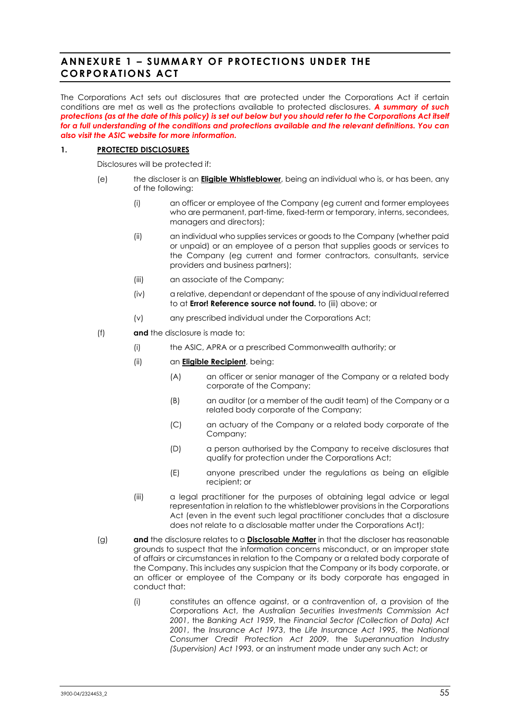# <span id="page-56-0"></span>**ANNEXURE 1 – SUMMARY OF PROTECTIONS UNDER THE CORPORATIONS ACT**

The Corporations Act sets out disclosures that are protected under the Corporations Act if certain conditions are met as well as the protections available to protected disclosures. *A summary of such protections (as at the date of this policy) is set out below but you should refer to the Corporations Act itself for a full understanding of the conditions and protections available and the relevant definitions. You can also visit the ASIC website for more information.*

#### **1. PROTECTED DISCLOSURES**

Disclosures will be protected if:

- (e) the discloser is an **Eligible Whistleblower**, being an individual who is, or has been, any of the following:
	- (i) an officer or employee of the Company (eg current and former employees who are permanent, part-time, fixed-term or temporary, interns, secondees, managers and directors);
	- (ii) an individual who supplies services or goods to the Company (whether paid or unpaid) or an employee of a person that supplies goods or services to the Company (eg current and former contractors, consultants, service providers and business partners);
	- (iii) an associate of the Company;
	- (iv) a relative, dependant or dependant of the spouse of any individual referred to at **Error! Reference source not found.** to [\(iii\)](#page-56-1) above; or
	- (v) any prescribed individual under the Corporations Act;
- <span id="page-56-1"></span>(f) **and** the disclosure is made to:
	- (i) the ASIC, APRA or a prescribed Commonwealth authority; or
	- (ii) an **Eligible Recipient**, being:
		- (A) an officer or senior manager of the Company or a related body corporate of the Company;
		- (B) an auditor (or a member of the audit team) of the Company or a related body corporate of the Company;
		- (C) an actuary of the Company or a related body corporate of the Company;
		- (D) a person authorised by the Company to receive disclosures that qualify for protection under the Corporations Act;
		- (E) anyone prescribed under the regulations as being an eligible recipient; or
	- (iii) a legal practitioner for the purposes of obtaining legal advice or legal representation in relation to the whistleblower provisions in the Corporations Act (even in the event such legal practitioner concludes that a disclosure does not relate to a disclosable matter under the Corporations Act);
- (g) **and** the disclosure relates to a **Disclosable Matter** in that the discloser has reasonable grounds to suspect that the information concerns misconduct, or an improper state of affairs or circumstances in relation to the Company or a related body corporate of the Company. This includes any suspicion that the Company or its body corporate, or an officer or employee of the Company or its body corporate has engaged in conduct that:
	- (i) constitutes an offence against, or a contravention of, a provision of the Corporations Act, the *Australian Securities Investments Commission Act 2001*, the *Banking Act 1959*, the *Financial Sector (Collection of Data) Act 2001*, the *Insurance Act 1973*, the *Life Insurance Act 1995*, the *National Consumer Credit Protection Act 2009*, the *Superannuation Industry (Supervision) Act 1993*, or an instrument made under any such Act; or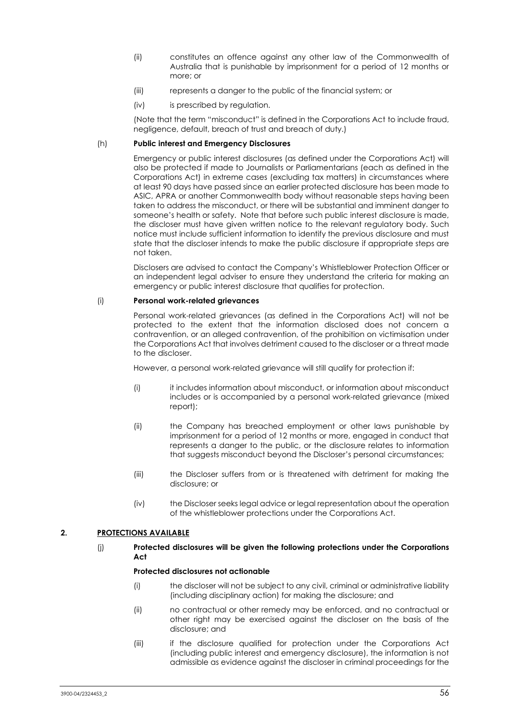- (ii) constitutes an offence against any other law of the Commonwealth of Australia that is punishable by imprisonment for a period of 12 months or more; or
- (iii) represents a danger to the public of the financial system; or
- (iv) is prescribed by regulation.

(Note that the term "misconduct" is defined in the Corporations Act to include fraud, negligence, default, breach of trust and breach of duty.)

#### (h) **Public interest and Emergency Disclosures**

Emergency or public interest disclosures (as defined under the Corporations Act) will also be protected if made to Journalists or Parliamentarians (each as defined in the Corporations Act) in extreme cases (excluding tax matters) in circumstances where at least 90 days have passed since an earlier protected disclosure has been made to ASIC, APRA or another Commonwealth body without reasonable steps having been taken to address the misconduct, or there will be substantial and imminent danger to someone's health or safety. Note that before such public interest disclosure is made, the discloser must have given written notice to the relevant regulatory body. Such notice must include sufficient information to identify the previous disclosure and must state that the discloser intends to make the public disclosure if appropriate steps are not taken.

Disclosers are advised to contact the Company's Whistleblower Protection Officer or an independent legal adviser to ensure they understand the criteria for making an emergency or public interest disclosure that qualifies for protection.

#### (i) **Personal work-related grievances**

Personal work-related grievances (as defined in the Corporations Act) will not be protected to the extent that the information disclosed does not concern a contravention, or an alleged contravention, of the prohibition on victimisation under the Corporations Act that involves detriment caused to the discloser or a threat made to the discloser.

However, a personal work-related grievance will still qualify for protection if:

- (i) it includes information about misconduct, or information about misconduct includes or is accompanied by a personal work-related grievance (mixed report);
- (ii) the Company has breached employment or other laws punishable by imprisonment for a period of 12 months or more, engaged in conduct that represents a danger to the public, or the disclosure relates to information that suggests misconduct beyond the Discloser's personal circumstances;
- (iii) the Discloser suffers from or is threatened with detriment for making the disclosure; or
- (iv) the Discloser seeks legal advice or legal representation about the operation of the whistleblower protections under the Corporations Act.

#### **2. PROTECTIONS AVAILABLE**

#### (j) **Protected disclosures will be given the following protections under the Corporations Act**

#### **Protected disclosures not actionable**

- (i) the discloser will not be subject to any civil, criminal or administrative liability (including disciplinary action) for making the disclosure; and
- (ii) no contractual or other remedy may be enforced, and no contractual or other right may be exercised against the discloser on the basis of the disclosure; and
- (iii) if the disclosure qualified for protection under the Corporations Act (including public interest and emergency disclosure), the information is not admissible as evidence against the discloser in criminal proceedings for the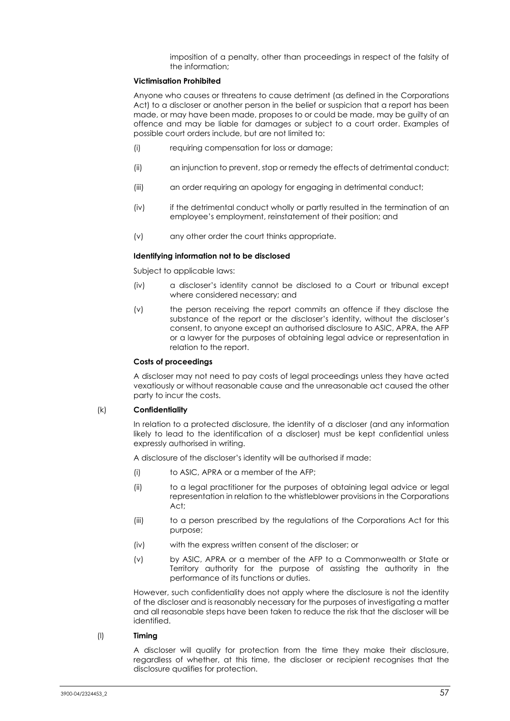imposition of a penalty, other than proceedings in respect of the falsity of the information;

#### **Victimisation Prohibited**

Anyone who causes or threatens to cause detriment (as defined in the Corporations Act) to a discloser or another person in the belief or suspicion that a report has been made, or may have been made, proposes to or could be made, may be guilty of an offence and may be liable for damages or subject to a court order. Examples of possible court orders include, but are not limited to:

- (i) requiring compensation for loss or damage;
- (ii) an injunction to prevent, stop or remedy the effects of detrimental conduct;
- (iii) an order requiring an apology for engaging in detrimental conduct;
- (iv) if the detrimental conduct wholly or partly resulted in the termination of an employee's employment, reinstatement of their position; and
- (v) any other order the court thinks appropriate.

#### **Identifying information not to be disclosed**

Subject to applicable laws:

- (iv) a discloser's identity cannot be disclosed to a Court or tribunal except where considered necessary; and
- (v) the person receiving the report commits an offence if they disclose the substance of the report or the discloser's identity, without the discloser's consent, to anyone except an authorised disclosure to ASIC, APRA, the AFP or a lawyer for the purposes of obtaining legal advice or representation in relation to the report.

#### **Costs of proceedings**

A discloser may not need to pay costs of legal proceedings unless they have acted vexatiously or without reasonable cause and the unreasonable act caused the other party to incur the costs.

#### (k) **Confidentiality**

In relation to a protected disclosure, the identity of a discloser (and any information likely to lead to the identification of a discloser) must be kept confidential unless expressly authorised in writing.

A disclosure of the discloser's identity will be authorised if made:

- (i) to ASIC, APRA or a member of the AFP;
- (ii) to a legal practitioner for the purposes of obtaining legal advice or legal representation in relation to the whistleblower provisions in the Corporations Act;
- (iii) to a person prescribed by the regulations of the Corporations Act for this purpose;
- (iv) with the express written consent of the discloser; or
- (v) by ASIC, APRA or a member of the AFP to a Commonwealth or State or Territory authority for the purpose of assisting the authority in the performance of its functions or duties.

However, such confidentiality does not apply where the disclosure is not the identity of the discloser and is reasonably necessary for the purposes of investigating a matter and all reasonable steps have been taken to reduce the risk that the discloser will be identified.

#### (l) **Timing**

A discloser will qualify for protection from the time they make their disclosure, regardless of whether, at this time, the discloser or recipient recognises that the disclosure qualifies for protection.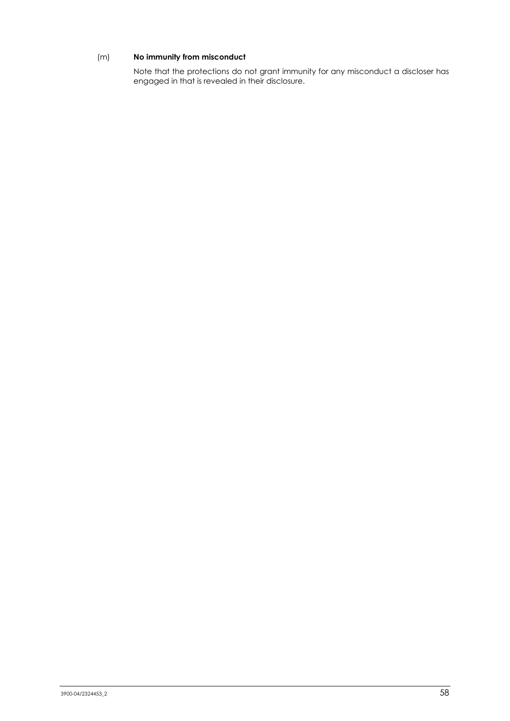## (m) **No immunity from misconduct**

Note that the protections do not grant immunity for any misconduct a discloser has engaged in that is revealed in their disclosure.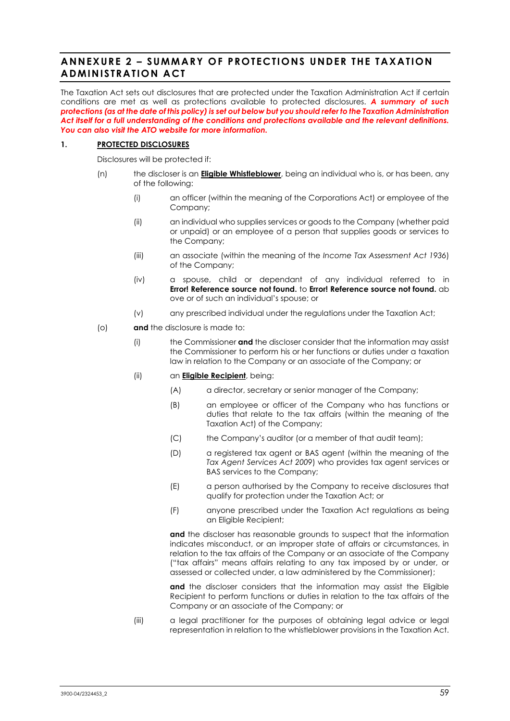# **ANNEXURE 2 – SUMMARY OF PROTECTIONS UNDER THE TAXATION ADMINISTRATION ACT**

The Taxation Act sets out disclosures that are protected under the Taxation Administration Act if certain conditions are met as well as protections available to protected disclosures. *A summary of such protections (as at the date of this policy) is set out below but you should refer to the Taxation Administration Act itself for a full understanding of the conditions and protections available and the relevant definitions. You can also visit the ATO website for more information.*

### **1. PROTECTED DISCLOSURES**

Disclosures will be protected if:

- (n) the discloser is an **Eligible Whistleblower**, being an individual who is, or has been, any of the following:
	- (i) an officer (within the meaning of the Corporations Act) or employee of the Company;
	- (ii) an individual who supplies services or goods to the Company (whether paid or unpaid) or an employee of a person that supplies goods or services to the Company;
	- (iii) an associate (within the meaning of the *Income Tax Assessment Act 1936*) of the Company;
	- (iv) a spouse, child or dependant of any individual referred to in **Error! Reference source not found.** to **Error! Reference source not found.** ab ove or of such an individual's spouse; or
	- (v) any prescribed individual under the regulations under the Taxation Act;
- (o) **and** the disclosure is made to:
	- (i) the Commissioner **and** the discloser consider that the information may assist the Commissioner to perform his or her functions or duties under a taxation law in relation to the Company or an associate of the Company; or
	- (ii) an **Eligible Recipient**, being:
		- (A) a director, secretary or senior manager of the Company;
		- (B) an employee or officer of the Company who has functions or duties that relate to the tax affairs (within the meaning of the Taxation Act) of the Company;
		- (C) the Company's auditor (or a member of that audit team);
		- (D) a registered tax agent or BAS agent (within the meaning of the *Tax Agent Services Act 2009*) who provides tax agent services or BAS services to the Company;
		- (E) a person authorised by the Company to receive disclosures that qualify for protection under the Taxation Act; or
		- (F) anyone prescribed under the Taxation Act regulations as being an Eligible Recipient;

**and** the discloser has reasonable grounds to suspect that the information indicates misconduct, or an improper state of affairs or circumstances, in relation to the tax affairs of the Company or an associate of the Company ("tax affairs" means affairs relating to any tax imposed by or under, or assessed or collected under, a law administered by the Commissioner);

**and** the discloser considers that the information may assist the Eligible Recipient to perform functions or duties in relation to the tax affairs of the Company or an associate of the Company; or

(iii) a legal practitioner for the purposes of obtaining legal advice or legal representation in relation to the whistleblower provisions in the Taxation Act.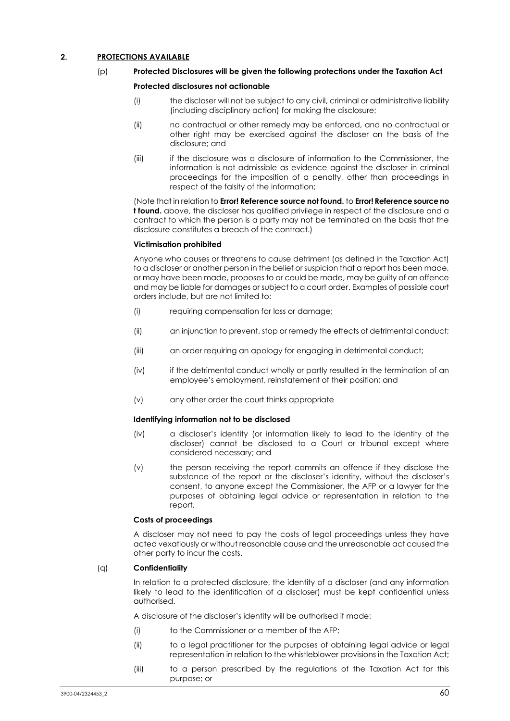#### **2. PROTECTIONS AVAILABLE**

#### (p) **Protected Disclosures will be given the following protections under the Taxation Act**

#### **Protected disclosures not actionable**

- (i) the discloser will not be subject to any civil, criminal or administrative liability (including disciplinary action) for making the disclosure;
- (ii) no contractual or other remedy may be enforced, and no contractual or other right may be exercised against the discloser on the basis of the disclosure; and
- (iii) if the disclosure was a disclosure of information to the Commissioner, the information is not admissible as evidence against the discloser in criminal proceedings for the imposition of a penalty, other than proceedings in respect of the falsity of the information;

(Note that in relation to **Error! Reference source not found.** to **Error! Reference source no t found.** above, the discloser has qualified privilege in respect of the disclosure and a contract to which the person is a party may not be terminated on the basis that the disclosure constitutes a breach of the contract.)

#### **Victimisation prohibited**

Anyone who causes or threatens to cause detriment (as defined in the Taxation Act) to a discloser or another person in the belief or suspicion that a report has been made, or may have been made, proposes to or could be made, may be guilty of an offence and may be liable for damages or subject to a court order. Examples of possible court orders include, but are not limited to:

- (i) requiring compensation for loss or damage;
- (ii) an injunction to prevent, stop or remedy the effects of detrimental conduct;
- (iii) an order requiring an apology for engaging in detrimental conduct;
- (iv) if the detrimental conduct wholly or partly resulted in the termination of an employee's employment, reinstatement of their position; and
- (v) any other order the court thinks appropriate

#### **Identifying information not to be disclosed**

- (iv) a discloser's identity (or information likely to lead to the identity of the discloser) cannot be disclosed to a Court or tribunal except where considered necessary; and
- (v) the person receiving the report commits an offence if they disclose the substance of the report or the discloser's identity, without the discloser's consent, to anyone except the Commissioner, the AFP or a lawyer for the purposes of obtaining legal advice or representation in relation to the report.

#### **Costs of proceedings**

A discloser may not need to pay the costs of legal proceedings unless they have acted vexatiously or without reasonable cause and the unreasonable act caused the other party to incur the costs.

#### (q) **Confidentiality**

In relation to a protected disclosure, the identity of a discloser (and any information likely to lead to the identification of a discloser) must be kept confidential unless authorised.

A disclosure of the discloser's identity will be authorised if made:

- (i) to the Commissioner or a member of the AFP;
- (ii) to a legal practitioner for the purposes of obtaining legal advice or legal representation in relation to the whistleblower provisions in the Taxation Act;
- (iii) to a person prescribed by the regulations of the Taxation Act for this purpose; or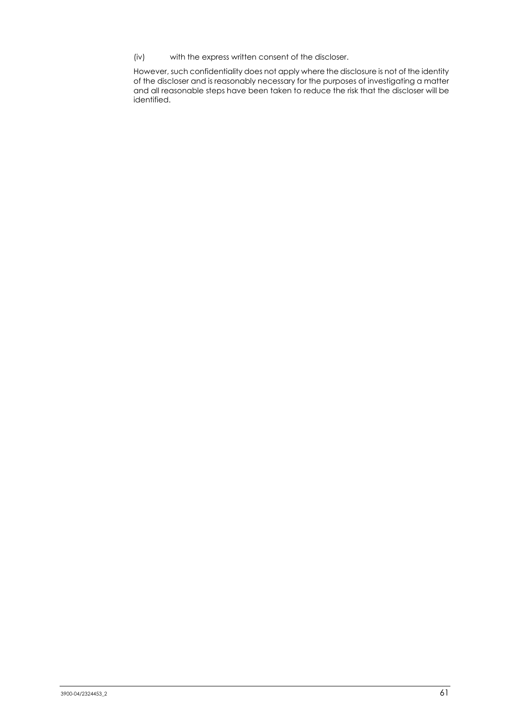(iv) with the express written consent of the discloser.

However, such confidentiality does not apply where the disclosure is not of the identity of the discloser and is reasonably necessary for the purposes of investigating a matter and all reasonable steps have been taken to reduce the risk that the discloser will be identified.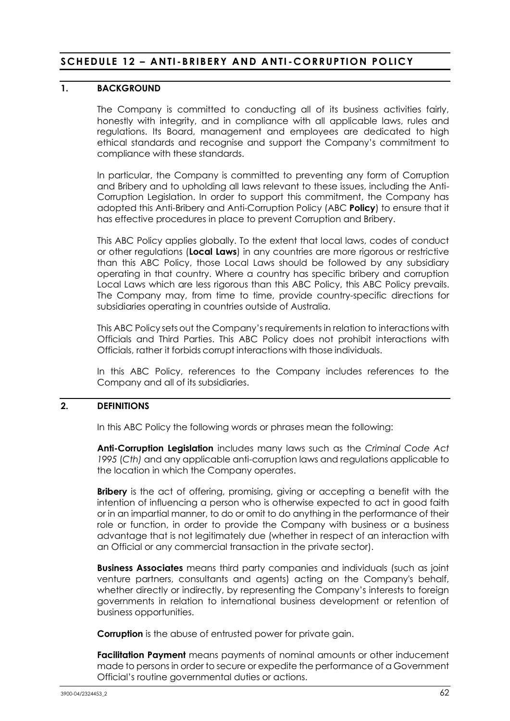# **SCHEDULE 12 – ANTI -BRIBERY AND ANTI -CORRUPTION POLICY**

## **1. BACKGROUND**

The Company is committed to conducting all of its business activities fairly, honestly with integrity, and in compliance with all applicable laws, rules and regulations. Its Board, management and employees are dedicated to high ethical standards and recognise and support the Company's commitment to compliance with these standards.

In particular, the Company is committed to preventing any form of Corruption and Bribery and to upholding all laws relevant to these issues, including the Anti-Corruption Legislation. In order to support this commitment, the Company has adopted this Anti-Bribery and Anti-Corruption Policy (ABC **Policy**) to ensure that it has effective procedures in place to prevent Corruption and Bribery.

This ABC Policy applies globally. To the extent that local laws, codes of conduct or other regulations (**Local Laws**) in any countries are more rigorous or restrictive than this ABC Policy, those Local Laws should be followed by any subsidiary operating in that country. Where a country has specific bribery and corruption Local Laws which are less rigorous than this ABC Policy, this ABC Policy prevails. The Company may, from time to time, provide country-specific directions for subsidiaries operating in countries outside of Australia.

This ABC Policy sets out the Company's requirements in relation to interactions with Officials and Third Parties. This ABC Policy does not prohibit interactions with Officials, rather it forbids corrupt interactions with those individuals.

In this ABC Policy, references to the Company includes references to the Company and all of its subsidiaries.

## **2. DEFINITIONS**

In this ABC Policy the following words or phrases mean the following:

**Anti-Corruption Legislation** includes many laws such as the *Criminal Code Act 1995* (*Cth)* and any applicable anti-corruption laws and regulations applicable to the location in which the Company operates.

**Bribery** is the act of offering, promising, giving or accepting a benefit with the intention of influencing a person who is otherwise expected to act in good faith or in an impartial manner, to do or omit to do anything in the performance of their role or function, in order to provide the Company with business or a business advantage that is not legitimately due (whether in respect of an interaction with an Official or any commercial transaction in the private sector).

**Business Associates** means third party companies and individuals (such as joint venture partners, consultants and agents) acting on the Company's behalf, whether directly or indirectly, by representing the Company's interests to foreign governments in relation to international business development or retention of business opportunities.

**Corruption** is the abuse of entrusted power for private gain.

**Facilitation Payment** means payments of nominal amounts or other inducement made to persons in order to secure or expedite the performance of a Government Official's routine governmental duties or actions.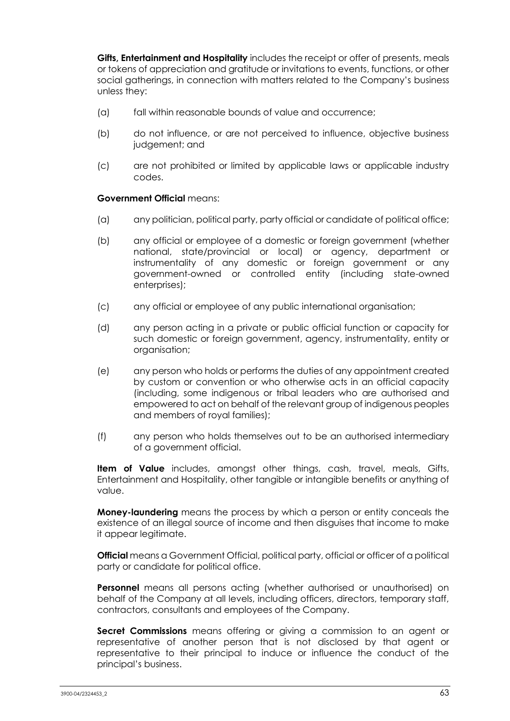**Gifts, Entertainment and Hospitality** includes the receipt or offer of presents, meals or tokens of appreciation and gratitude or invitations to events, functions, or other social gatherings, in connection with matters related to the Company's business unless they:

- (a) fall within reasonable bounds of value and occurrence;
- (b) do not influence, or are not perceived to influence, objective business judgement; and
- (c) are not prohibited or limited by applicable laws or applicable industry codes.

### **Government Official** means:

- (a) any politician, political party, party official or candidate of political office;
- (b) any official or employee of a domestic or foreign government (whether national, state/provincial or local) or agency, department or instrumentality of any domestic or foreign government or any government-owned or controlled entity (including state-owned enterprises);
- (c) any official or employee of any public international organisation;
- (d) any person acting in a private or public official function or capacity for such domestic or foreign government, agency, instrumentality, entity or organisation;
- (e) any person who holds or performs the duties of any appointment created by custom or convention or who otherwise acts in an official capacity (including, some indigenous or tribal leaders who are authorised and empowered to act on behalf of the relevant group of indigenous peoples and members of royal families);
- (f) any person who holds themselves out to be an authorised intermediary of a government official.

**Item of Value** includes, amongst other things, cash, travel, meals, Gifts, Entertainment and Hospitality, other tangible or intangible benefits or anything of value.

**Money-laundering** means the process by which a person or entity conceals the existence of an illegal source of income and then disguises that income to make it appear legitimate.

**Official** means a Government Official, political party, official or officer of a political party or candidate for political office.

**Personnel** means all persons acting (whether authorised or unauthorised) on behalf of the Company at all levels, including officers, directors, temporary staff, contractors, consultants and employees of the Company.

**Secret Commissions** means offering or giving a commission to an agent or representative of another person that is not disclosed by that agent or representative to their principal to induce or influence the conduct of the principal's business.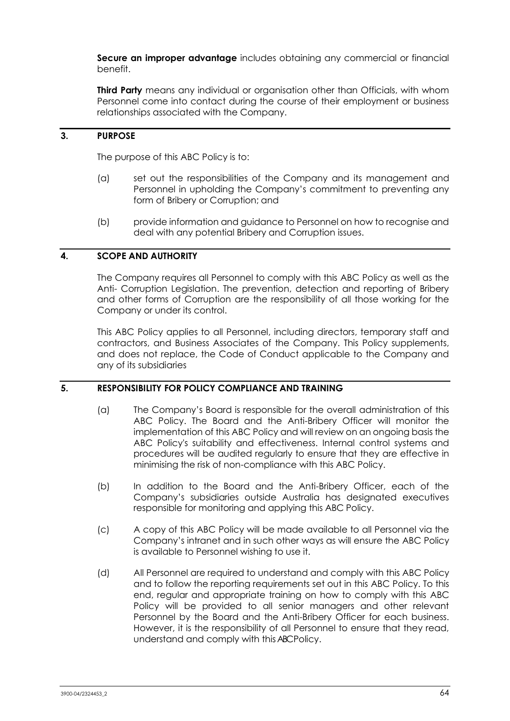**Secure an improper advantage** includes obtaining any commercial or financial benefit.

**Third Party** means any individual or organisation other than Officials, with whom Personnel come into contact during the course of their employment or business relationships associated with the Company.

## **3. PURPOSE**

The purpose of this ABC Policy is to:

- (a) set out the responsibilities of the Company and its management and Personnel in upholding the Company's commitment to preventing any form of Bribery or Corruption; and
- (b) provide information and guidance to Personnel on how to recognise and deal with any potential Bribery and Corruption issues.

## **4. SCOPE AND AUTHORITY**

The Company requires all Personnel to comply with this ABC Policy as well as the Anti- Corruption Legislation. The prevention, detection and reporting of Bribery and other forms of Corruption are the responsibility of all those working for the Company or under its control.

This ABC Policy applies to all Personnel, including directors, temporary staff and contractors, and Business Associates of the Company. This Policy supplements, and does not replace, the Code of Conduct applicable to the Company and any of its subsidiaries

## **5. RESPONSIBILITY FOR POLICY COMPLIANCE AND TRAINING**

- (a) The Company's Board is responsible for the overall administration of this ABC Policy. The Board and the Anti-Bribery Officer will monitor the implementation of this ABC Policy and will review on an ongoing basis the ABC Policy's suitability and effectiveness. Internal control systems and procedures will be audited regularly to ensure that they are effective in minimising the risk of non-compliance with this ABC Policy.
- (b) In addition to the Board and the Anti-Bribery Officer, each of the Company's subsidiaries outside Australia has designated executives responsible for monitoring and applying this ABC Policy.
- (c) A copy of this ABC Policy will be made available to all Personnel via the Company's intranet and in such other ways as will ensure the ABC Policy is available to Personnel wishing to use it.
- (d) All Personnel are required to understand and comply with this ABC Policy and to follow the reporting requirements set out in this ABC Policy. To this end, regular and appropriate training on how to comply with this ABC Policy will be provided to all senior managers and other relevant Personnel by the Board and the Anti-Bribery Officer for each business. However, it is the responsibility of all Personnel to ensure that they read, understand and comply with this ABC Policy.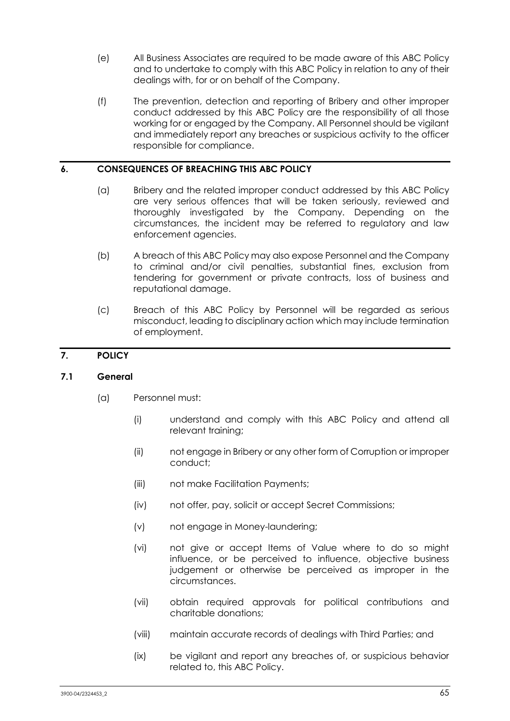- (e) All Business Associates are required to be made aware of this ABC Policy and to undertake to comply with this ABC Policy in relation to any of their dealings with, for or on behalf of the Company.
- (f) The prevention, detection and reporting of Bribery and other improper conduct addressed by this ABC Policy are the responsibility of all those working for or engaged by the Company. All Personnel should be vigilant and immediately report any breaches or suspicious activity to the officer responsible for compliance.

## **6. CONSEQUENCES OF BREACHING THIS ABC POLICY**

- (a) Bribery and the related improper conduct addressed by this ABC Policy are very serious offences that will be taken seriously, reviewed and thoroughly investigated by the Company. Depending on the circumstances, the incident may be referred to regulatory and law enforcement agencies.
- (b) A breach of this ABC Policy may also expose Personnel and the Company to criminal and/or civil penalties, substantial fines, exclusion from tendering for government or private contracts, loss of business and reputational damage.
- (c) Breach of this ABC Policy by Personnel will be regarded as serious misconduct, leading to disciplinary action which may include termination of employment.

## **7. POLICY**

## **7.1 General**

- (a) Personnel must:
	- (i) understand and comply with this ABC Policy and attend all relevant training;
	- (ii) not engage in Bribery or any other form of Corruption or improper conduct;
	- (iii) not make Facilitation Payments;
	- (iv) not offer, pay, solicit or accept Secret Commissions;
	- (v) not engage in Money-laundering;
	- (vi) not give or accept Items of Value where to do so might influence, or be perceived to influence, objective business judgement or otherwise be perceived as improper in the circumstances.
	- (vii) obtain required approvals for political contributions and charitable donations;
	- (viii) maintain accurate records of dealings with Third Parties; and
	- (ix) be vigilant and report any breaches of, or suspicious behavior related to, this ABC Policy.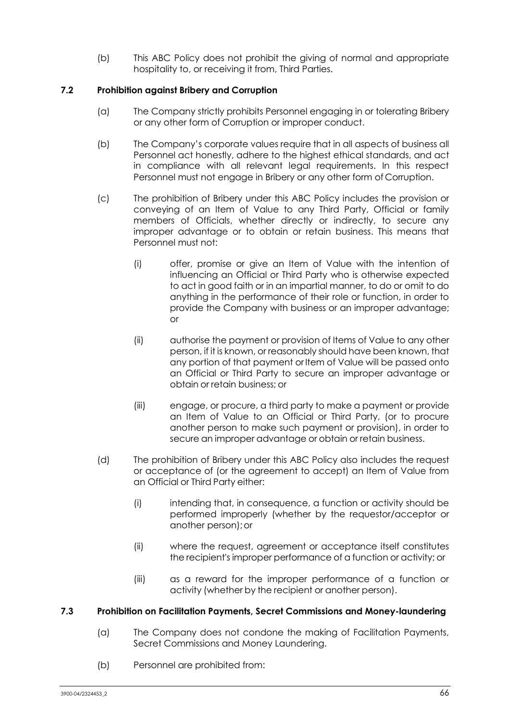(b) This ABC Policy does not prohibit the giving of normal and appropriate hospitality to, or receiving it from, Third Parties.

## **7.2 Prohibition against Bribery and Corruption**

- (a) The Company strictly prohibits Personnel engaging in or tolerating Bribery or any other form of Corruption or improper conduct.
- (b) The Company's corporate values require that in all aspects of business all Personnel act honestly, adhere to the highest ethical standards, and act in compliance with all relevant legal requirements. In this respect Personnel must not engage in Bribery or any other form of Corruption.
- (c) The prohibition of Bribery under this ABC Policy includes the provision or conveying of an Item of Value to any Third Party, Official or family members of Officials, whether directly or indirectly, to secure any improper advantage or to obtain or retain business. This means that Personnel must not:
	- (i) offer, promise or give an Item of Value with the intention of influencing an Official or Third Party who is otherwise expected to act in good faith or in an impartial manner, to do or omit to do anything in the performance of their role or function, in order to provide the Company with business or an improper advantage; or
	- (ii) authorise the payment or provision of Items of Value to any other person, if it is known, or reasonably should have been known, that any portion of that payment or Item of Value will be passed onto an Official or Third Party to secure an improper advantage or obtain or retain business; or
	- (iii) engage, or procure, a third party to make a payment or provide an Item of Value to an Official or Third Party, (or to procure another person to make such payment or provision), in order to secure an improper advantage or obtain or retain business.
- (d) The prohibition of Bribery under this ABC Policy also includes the request or acceptance of (or the agreement to accept) an Item of Value from an Official or Third Party either:
	- (i) intending that, in consequence, a function or activity should be performed improperly (whether by the requestor/acceptor or another person);or
	- (ii) where the request, agreement or acceptance itself constitutes the recipient's improper performance of a function or activity; or
	- (iii) as a reward for the improper performance of a function or activity (whether by the recipient or another person).

## **7.3 Prohibition on Facilitation Payments, Secret Commissions and Money-laundering**

- (a) The Company does not condone the making of Facilitation Payments, Secret Commissions and Money Laundering.
- (b) Personnel are prohibited from: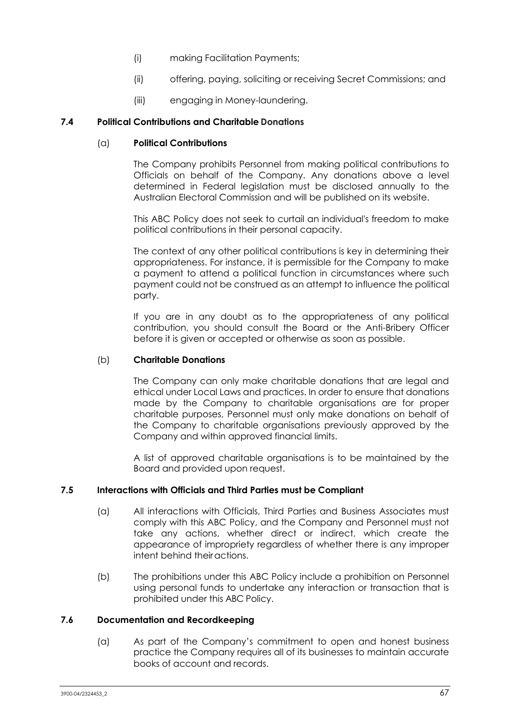- (i) making Facilitation Payments;
- (ii) offering, paying, soliciting or receiving Secret Commissions; and
- (iii) engaging in Money-laundering.

## **7.4 Political Contributions and Charitable Donations**

## (a) **Political Contributions**

The Company prohibits Personnel from making political contributions to Officials on behalf of the Company. Any donations above a level determined in Federal legislation must be disclosed annually to the Australian Electoral Commission and will be published on its website.

This ABC Policy does not seek to curtail an individual's freedom to make political contributions in their personal capacity.

The context of any other political contributions is key in determining their appropriateness. For instance, it is permissible for the Company to make a payment to attend a political function in circumstances where such payment could not be construed as an attempt to influence the political party.

If you are in any doubt as to the appropriateness of any political contribution, you should consult the Board or the Anti-Bribery Officer before it is given or accepted or otherwise as soon as possible.

## (b) **Charitable Donations**

The Company can only make charitable donations that are legal and ethical under Local Laws and practices. In order to ensure that donations made by the Company to charitable organisations are for proper charitable purposes, Personnel must only make donations on behalf of the Company to charitable organisations previously approved by the Company and within approved financial limits.

A list of approved charitable organisations is to be maintained by the Board and provided upon request.

## **7.5 Interactions with Officials and Third Parties must be Compliant**

- (a) All interactions with Officials, Third Parties and Business Associates must comply with this ABC Policy, and the Company and Personnel must not take any actions, whether direct or indirect, which create the appearance of impropriety regardless of whether there is any improper intent behind theiractions.
- (b) The prohibitions under this ABC Policy include a prohibition on Personnel using personal funds to undertake any interaction or transaction that is prohibited under this ABC Policy.

## **7.6 Documentation and Recordkeeping**

(a) As part of the Company's commitment to open and honest business practice the Company requires all of its businesses to maintain accurate books of account and records.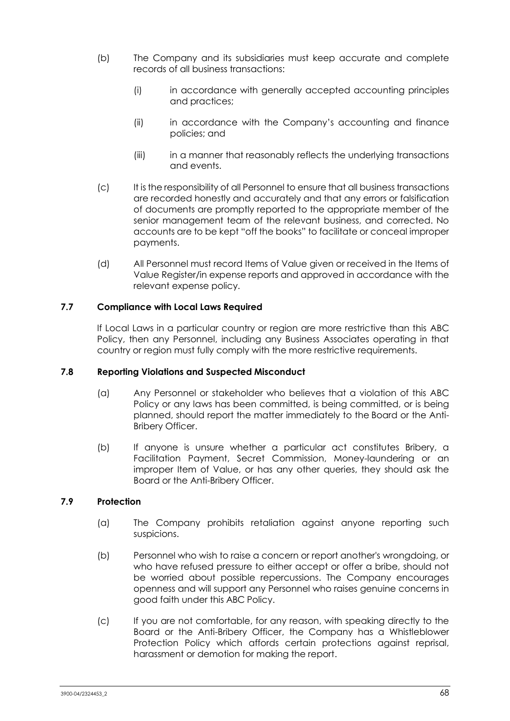- (b) The Company and its subsidiaries must keep accurate and complete records of all business transactions:
	- (i) in accordance with generally accepted accounting principles and practices;
	- (ii) in accordance with the Company's accounting and finance policies; and
	- (iii) in a manner that reasonably reflects the underlying transactions and events.
- (c) It is the responsibility of all Personnel to ensure that all business transactions are recorded honestly and accurately and that any errors or falsification of documents are promptly reported to the appropriate member of the senior management team of the relevant business, and corrected. No accounts are to be kept "off the books" to facilitate or conceal improper payments.
- (d) All Personnel must record Items of Value given or received in the Items of Value Register/in expense reports and approved in accordance with the relevant expense policy.

## **7.7 Compliance with Local Laws Required**

If Local Laws in a particular country or region are more restrictive than this ABC Policy, then any Personnel, including any Business Associates operating in that country or region must fully comply with the more restrictive requirements.

## **7.8 Reporting Violations and Suspected Misconduct**

- (a) Any Personnel or stakeholder who believes that a violation of this ABC Policy or any laws has been committed, is being committed, or is being planned, should report the matter immediately to the Board or the Anti-Bribery Officer.
- (b) If anyone is unsure whether a particular act constitutes Bribery, a Facilitation Payment, Secret Commission, Money-laundering or an improper Item of Value, or has any other queries, they should ask the Board or the Anti-Bribery Officer.

## **7.9 Protection**

- (a) The Company prohibits retaliation against anyone reporting such suspicions.
- (b) Personnel who wish to raise a concern or report another's wrongdoing, or who have refused pressure to either accept or offer a bribe, should not be worried about possible repercussions. The Company encourages openness and will support any Personnel who raises genuine concerns in good faith under this ABC Policy.
- (c) If you are not comfortable, for any reason, with speaking directly to the Board or the Anti-Bribery Officer, the Company has a Whistleblower Protection Policy which affords certain protections against reprisal, harassment or demotion for making the report.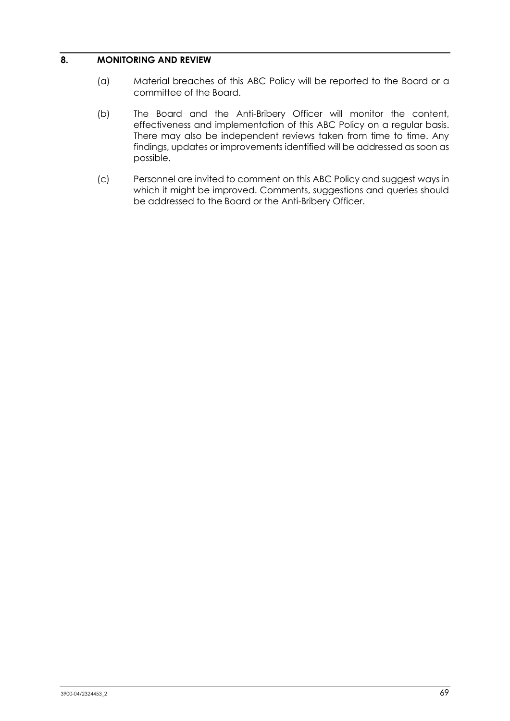## **8. MONITORING AND REVIEW**

- (a) Material breaches of this ABC Policy will be reported to the Board or a committee of the Board.
- (b) The Board and the Anti-Bribery Officer will monitor the content, effectiveness and implementation of this ABC Policy on a regular basis. There may also be independent reviews taken from time to time. Any findings, updates or improvements identified will be addressed as soon as possible.
- (c) Personnel are invited to comment on this ABC Policy and suggest ways in which it might be improved. Comments, suggestions and queries should be addressed to the Board or the Anti-Bribery Officer.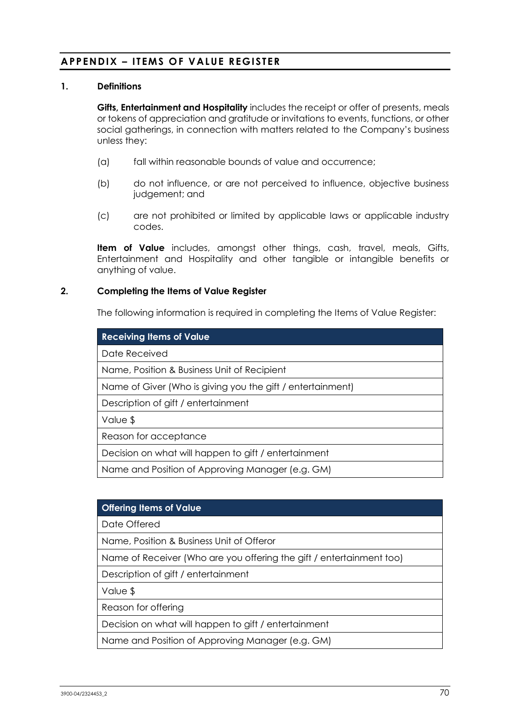# **APPENDIX – ITEMS OF VALUE REGISTER**

### **1. Definitions**

**Gifts, Entertainment and Hospitality** includes the receipt or offer of presents, meals or tokens of appreciation and gratitude or invitations to events, functions, or other social gatherings, in connection with matters related to the Company's business unless they:

- (a) fall within reasonable bounds of value and occurrence;
- (b) do not influence, or are not perceived to influence, objective business judgement; and
- (c) are not prohibited or limited by applicable laws or applicable industry codes.

**Item of Value** includes, amongst other things, cash, travel, meals, Gifts, Entertainment and Hospitality and other tangible or intangible benefits or anything of value.

### **2. Completing the Items of Value Register**

The following information is required in completing the Items of Value Register:

| <b>Receiving Items of Value</b>                            |
|------------------------------------------------------------|
| Date Received                                              |
| Name, Position & Business Unit of Recipient                |
| Name of Giver (Who is giving you the gift / entertainment) |
| Description of gift / entertainment                        |
| Value \$                                                   |
| Reason for acceptance                                      |
| Decision on what will happen to gift / entertainment       |
| Name and Position of Approving Manager (e.g. GM)           |

| <b>Offering Items of Value</b>                                       |
|----------------------------------------------------------------------|
| Date Offered                                                         |
| Name, Position & Business Unit of Offeror                            |
| Name of Receiver (Who are you offering the gift / entertainment too) |
| Description of gift / entertainment                                  |
| Value \$                                                             |
| Reason for offering                                                  |
| Decision on what will happen to gift / entertainment                 |
| Name and Position of Approving Manager (e.g. GM)                     |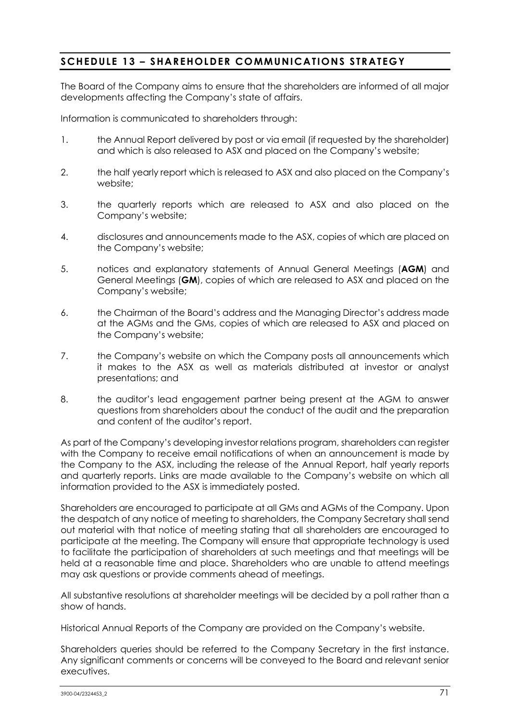## **SCHEDULE 13 – SHAREHOLDER COMMUNICATIONS STRATEGY**

The Board of the Company aims to ensure that the shareholders are informed of all major developments affecting the Company's state of affairs.

Information is communicated to shareholders through:

- 1. the Annual Report delivered by post or via email (if requested by the shareholder) and which is also released to ASX and placed on the Company's website;
- 2. the half yearly report which is released to ASX and also placed on the Company's website;
- 3. the quarterly reports which are released to ASX and also placed on the Company's website;
- 4. disclosures and announcements made to the ASX, copies of which are placed on the Company's website;
- 5. notices and explanatory statements of Annual General Meetings (**AGM**) and General Meetings (**GM**), copies of which are released to ASX and placed on the Company's website;
- 6. the Chairman of the Board's address and the Managing Director's address made at the AGMs and the GMs, copies of which are released to ASX and placed on the Company's website;
- 7. the Company's website on which the Company posts all announcements which it makes to the ASX as well as materials distributed at investor or analyst presentations; and
- 8. the auditor's lead engagement partner being present at the AGM to answer questions from shareholders about the conduct of the audit and the preparation and content of the auditor's report.

As part of the Company's developing investor relations program, shareholders can register with the Company to receive email notifications of when an announcement is made by the Company to the ASX, including the release of the Annual Report, half yearly reports and quarterly reports. Links are made available to the Company's website on which all information provided to the ASX is immediately posted.

Shareholders are encouraged to participate at all GMs and AGMs of the Company. Upon the despatch of any notice of meeting to shareholders, the Company Secretary shall send out material with that notice of meeting stating that all shareholders are encouraged to participate at the meeting. The Company will ensure that appropriate technology is used to facilitate the participation of shareholders at such meetings and that meetings will be held at a reasonable time and place. Shareholders who are unable to attend meetings may ask questions or provide comments ahead of meetings.

All substantive resolutions at shareholder meetings will be decided by a poll rather than a show of hands.

Historical Annual Reports of the Company are provided on the Company's website.

Shareholders queries should be referred to the Company Secretary in the first instance. Any significant comments or concerns will be conveyed to the Board and relevant senior executives.